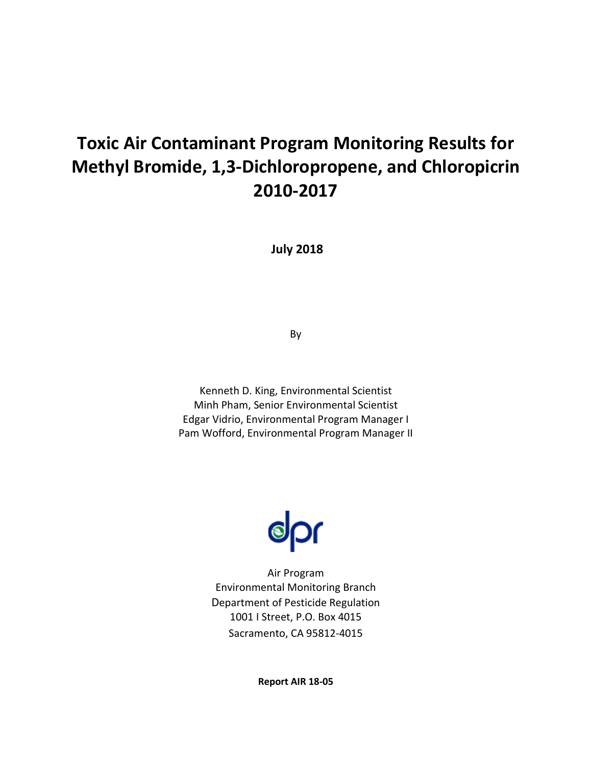# **Toxic Air Contaminant Program Monitoring Results for Methyl Bromide, 1,3-Dichloropropene, and Chloropicrin 2010-2017**

**July 2018**

By

Kenneth D. King, Environmental Scientist Minh Pham, Senior Environmental Scientist Edgar Vidrio, Environmental Program Manager I Pam Wofford, Environmental Program Manager II



Air Program Environmental Monitoring Branch Department of Pesticide Regulation 1001 I Street, P.O. Box 4015 Sacramento, CA 95812-4015

**Report AIR 18-05**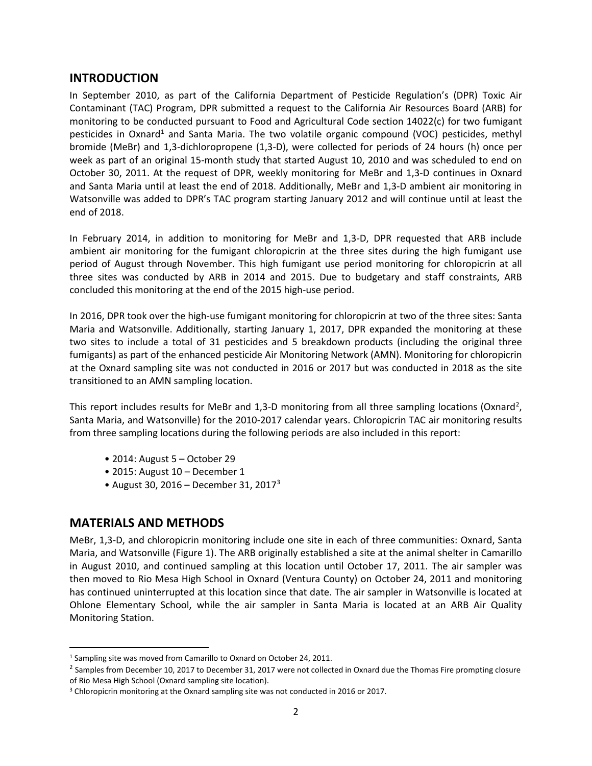## **INTRODUCTION**

In September 2010, as part of the California Department of Pesticide Regulation's (DPR) Toxic Air Contaminant (TAC) Program, DPR submitted a request to the California Air Resources Board (ARB) for monitoring to be conducted pursuant to Food and Agricultural Code section 14022(c) for two fumigant pesticides in Oxnard<sup>1</sup> and Santa Maria. The two volatile organic compound (VOC) pesticides, methyl bromide (MeBr) and 1,3-dichloropropene (1,3-D), were collected for periods of 24 hours (h) once per week as part of an original 15-month study that started August 10, 2010 and was scheduled to end on October 30, 2011. At the request of DPR, weekly monitoring for MeBr and 1,3-D continues in Oxnard and Santa Maria until at least the end of 2018. Additionally, MeBr and 1,3-D ambient air monitoring in Watsonville was added to DPR's TAC program starting January 2012 and will continue until at least the end of 2018.

In February 2014, in addition to monitoring for MeBr and 1,3-D, DPR requested that ARB include ambient air monitoring for the fumigant chloropicrin at the three sites during the high fumigant use period of August through November. This high fumigant use period monitoring for chloropicrin at all three sites was conducted by ARB in 2014 and 2015. Due to budgetary and staff constraints, ARB concluded this monitoring at the end of the 2015 high-use period.

In 2016, DPR took over the high-use fumigant monitoring for chloropicrin at two of the three sites: Santa Maria and Watsonville. Additionally, starting January 1, 2017, DPR expanded the monitoring at these two sites to include a total of 31 pesticides and 5 breakdown products (including the original three fumigants) as part of the enhanced pesticide Air Monitoring Network (AMN). Monitoring for chloropicrin at the Oxnard sampling site was not conducted in 2016 or 2017 but was conducted in 2018 as the site transitioned to an AMN sampling location.

This report includes results for MeBr and 1,3-D monitoring from all three sampling locations (Oxnard<sup>[2](#page-1-1)</sup>, Santa Maria, and Watsonville) for the 2010-2017 calendar years. Chloropicrin TAC air monitoring results from three sampling locations during the following periods are also included in this report:

- 2014: August 5 October 29
- 2015: August 10 December 1
- August [3](#page-1-2)0, 2016 December 31, 2017<sup>3</sup>

## **MATERIALS AND METHODS**

MeBr, 1,3-D, and chloropicrin monitoring include one site in each of three communities: Oxnard, Santa Maria, and Watsonville (Figure 1). The ARB originally established a site at the animal shelter in Camarillo in August 2010, and continued sampling at this location until October 17, 2011. The air sampler was then moved to Rio Mesa High School in Oxnard (Ventura County) on October 24, 2011 and monitoring has continued uninterrupted at this location since that date. The air sampler in Watsonville is located at Ohlone Elementary School, while the air sampler in Santa Maria is located at an ARB Air Quality Monitoring Station.

<span id="page-1-0"></span><sup>1</sup> Sampling site was moved from Camarillo to Oxnard on October 24, 2011.

<span id="page-1-1"></span><sup>&</sup>lt;sup>2</sup> Samples from December 10, 2017 to December 31, 2017 were not collected in Oxnard due the Thomas Fire prompting closure of Rio Mesa High School (Oxnard sampling site location).

<span id="page-1-2"></span><sup>3</sup> Chloropicrin monitoring at the Oxnard sampling site was not conducted in 2016 or 2017.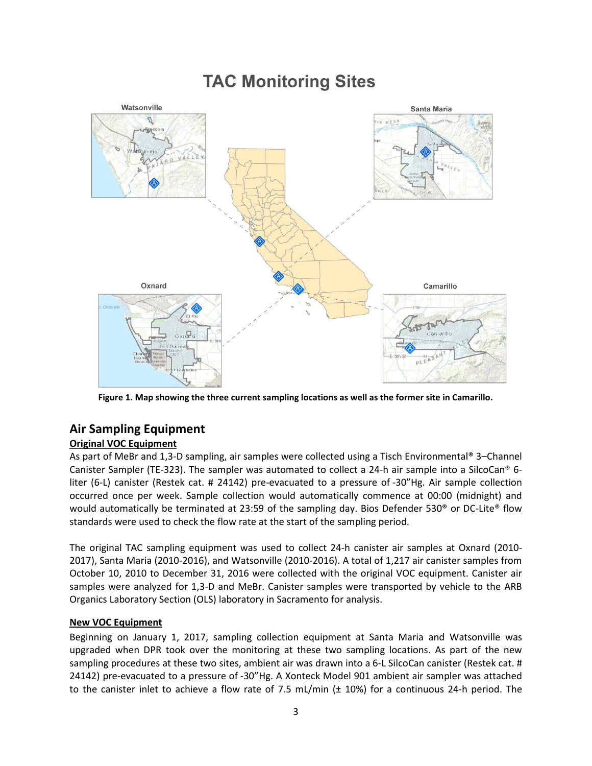# **TAC Monitoring Sites**



**Figure 1. Map showing the three current sampling locations as well as the former site in Camarillo.**

## **Air Sampling Equipment**

### **Original VOC Equipment**

As part of MeBr and 1,3-D sampling, air samples were collected using a Tisch Environmental® 3–Channel Canister Sampler (TE-323). The sampler was automated to collect a 24-h air sample into a SilcoCan® 6 liter (6-L) canister (Restek cat. # 24142) pre-evacuated to a pressure of -30"Hg. Air sample collection occurred once per week. Sample collection would automatically commence at 00:00 (midnight) and would automatically be terminated at 23:59 of the sampling day. Bios Defender 530® or DC-Lite® flow standards were used to check the flow rate at the start of the sampling period.

The original TAC sampling equipment was used to collect 24-h canister air samples at Oxnard (2010- 2017), Santa Maria (2010-2016), and Watsonville (2010-2016). A total of 1,217 air canister samples from October 10, 2010 to December 31, 2016 were collected with the original VOC equipment. Canister air samples were analyzed for 1,3-D and MeBr. Canister samples were transported by vehicle to the ARB Organics Laboratory Section (OLS) laboratory in Sacramento for analysis.

### **New VOC Equipment**

Beginning on January 1, 2017, sampling collection equipment at Santa Maria and Watsonville was upgraded when DPR took over the monitoring at these two sampling locations. As part of the new sampling procedures at these two sites, ambient air was drawn into a 6-L SilcoCan canister (Restek cat. # 24142) pre-evacuated to a pressure of -30"Hg. A Xonteck Model 901 ambient air sampler was attached to the canister inlet to achieve a flow rate of 7.5 mL/min (± 10%) for a continuous 24-h period. The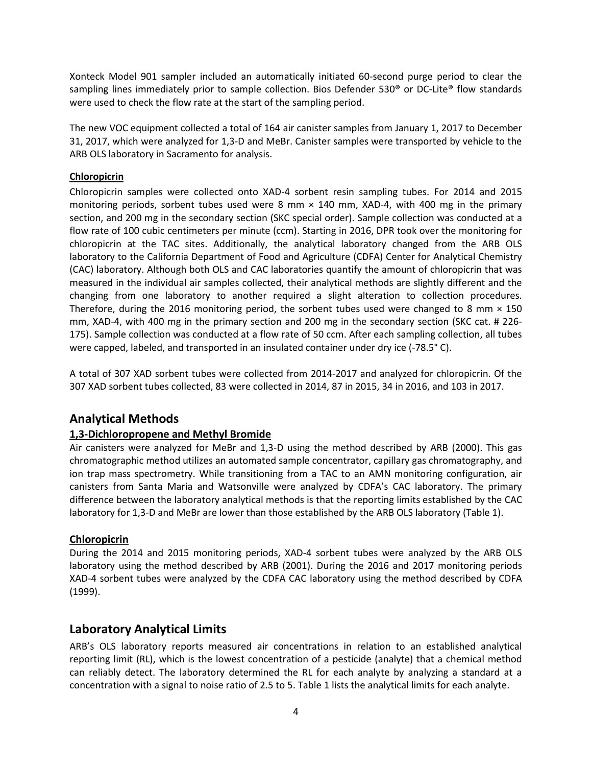Xonteck Model 901 sampler included an automatically initiated 60-second purge period to clear the sampling lines immediately prior to sample collection. Bios Defender 530<sup>®</sup> or DC-Lite® flow standards were used to check the flow rate at the start of the sampling period.

The new VOC equipment collected a total of 164 air canister samples from January 1, 2017 to December 31, 2017, which were analyzed for 1,3-D and MeBr. Canister samples were transported by vehicle to the ARB OLS laboratory in Sacramento for analysis.

### **Chloropicrin**

Chloropicrin samples were collected onto XAD-4 sorbent resin sampling tubes. For 2014 and 2015 monitoring periods, sorbent tubes used were 8 mm  $\times$  140 mm, XAD-4, with 400 mg in the primary section, and 200 mg in the secondary section (SKC special order). Sample collection was conducted at a flow rate of 100 cubic centimeters per minute (ccm). Starting in 2016, DPR took over the monitoring for chloropicrin at the TAC sites. Additionally, the analytical laboratory changed from the ARB OLS laboratory to the California Department of Food and Agriculture (CDFA) Center for Analytical Chemistry (CAC) laboratory. Although both OLS and CAC laboratories quantify the amount of chloropicrin that was measured in the individual air samples collected, their analytical methods are slightly different and the changing from one laboratory to another required a slight alteration to collection procedures. Therefore, during the 2016 monitoring period, the sorbent tubes used were changed to 8 mm  $\times$  150 mm, XAD-4, with 400 mg in the primary section and 200 mg in the secondary section (SKC cat. # 226- 175). Sample collection was conducted at a flow rate of 50 ccm. After each sampling collection, all tubes were capped, labeled, and transported in an insulated container under dry ice (-78.5° C).

A total of 307 XAD sorbent tubes were collected from 2014-2017 and analyzed for chloropicrin. Of the 307 XAD sorbent tubes collected, 83 were collected in 2014, 87 in 2015, 34 in 2016, and 103 in 2017.

## **Analytical Methods**

### **1,3-Dichloropropene and Methyl Bromide**

Air canisters were analyzed for MeBr and 1,3-D using the method described by ARB (2000). This gas chromatographic method utilizes an automated sample concentrator, capillary gas chromatography, and ion trap mass spectrometry. While transitioning from a TAC to an AMN monitoring configuration, air canisters from Santa Maria and Watsonville were analyzed by CDFA's CAC laboratory. The primary difference between the laboratory analytical methods is that the reporting limits established by the CAC laboratory for 1,3-D and MeBr are lower than those established by the ARB OLS laboratory [\(Table 1\)](#page-4-0).

### **Chloropicrin**

During the 2014 and 2015 monitoring periods, XAD-4 sorbent tubes were analyzed by the ARB OLS laboratory using the method described by ARB (2001). During the 2016 and 2017 monitoring periods XAD-4 sorbent tubes were analyzed by the CDFA CAC laboratory using the method described by CDFA (1999).

## **Laboratory Analytical Limits**

ARB's OLS laboratory reports measured air concentrations in relation to an established analytical reporting limit (RL), which is the lowest concentration of a pesticide (analyte) that a chemical method can reliably detect. The laboratory determined the RL for each analyte by analyzing a standard at a concentration with a signal to noise ratio of 2.5 to 5. Table 1 lists the analytical limits for each analyte.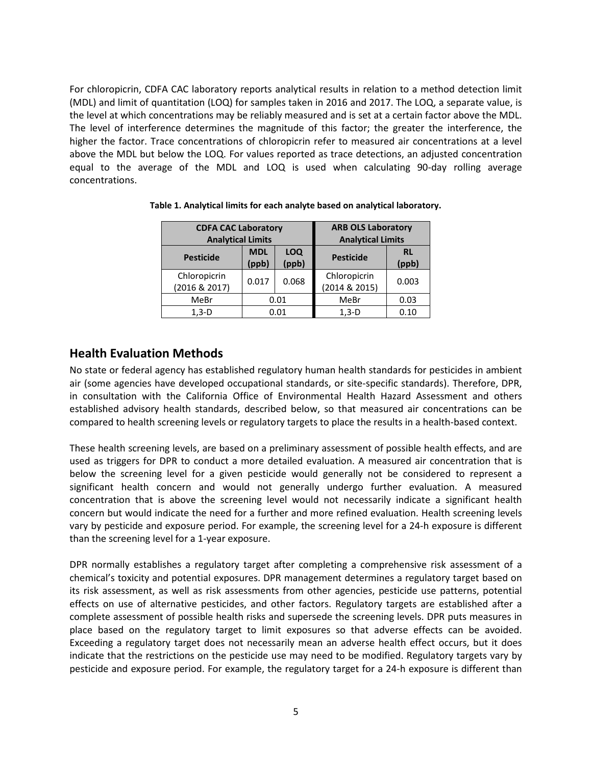For chloropicrin, CDFA CAC laboratory reports analytical results in relation to a method detection limit (MDL) and limit of quantitation (LOQ) for samples taken in 2016 and 2017. The LOQ, a separate value, is the level at which concentrations may be reliably measured and is set at a certain factor above the MDL. The level of interference determines the magnitude of this factor; the greater the interference, the higher the factor. Trace concentrations of chloropicrin refer to measured air concentrations at a level above the MDL but below the LOQ. For values reported as trace detections, an adjusted concentration equal to the average of the MDL and LOQ is used when calculating 90-day rolling average concentrations.

| <b>CDFA CAC Laboratory</b>    |                     | <b>ARB OLS Laboratory</b> |                               |                    |  |
|-------------------------------|---------------------|---------------------------|-------------------------------|--------------------|--|
| <b>Analytical Limits</b>      |                     |                           | <b>Analytical Limits</b>      |                    |  |
| <b>Pesticide</b>              | <b>MDL</b><br>(ppb) | <b>LOQ</b><br>(ppb)       | <b>Pesticide</b>              | <b>RL</b><br>(ppb) |  |
| Chloropicrin<br>(2016 & 2017) | 0.017               | 0.068                     | Chloropicrin<br>(2014 & 2015) | 0.003              |  |
| MeBr                          | 0.01                |                           | MeBr                          | 0.03               |  |
| $1.3-D$                       | 0.01                |                           | $1.3-D$                       | 0.10               |  |

<span id="page-4-0"></span>**Table 1. Analytical limits for each analyte based on analytical laboratory.** 

## **Health Evaluation Methods**

No state or federal agency has established regulatory human health standards for pesticides in ambient air (some agencies have developed occupational standards, or site-specific standards). Therefore, DPR, in consultation with the California Office of Environmental Health Hazard Assessment and others established advisory health standards, described below, so that measured air concentrations can be compared to health screening levels or regulatory targets to place the results in a health-based context.

These health screening levels, are based on a preliminary assessment of possible health effects, and are used as triggers for DPR to conduct a more detailed evaluation. A measured air concentration that is below the screening level for a given pesticide would generally not be considered to represent a significant health concern and would not generally undergo further evaluation. A measured concentration that is above the screening level would not necessarily indicate a significant health concern but would indicate the need for a further and more refined evaluation. Health screening levels vary by pesticide and exposure period. For example, the screening level for a 24-h exposure is different than the screening level for a 1-year exposure.

DPR normally establishes a regulatory target after completing a comprehensive risk assessment of a chemical's toxicity and potential exposures. DPR management determines a regulatory target based on its risk assessment, as well as risk assessments from other agencies, pesticide use patterns, potential effects on use of alternative pesticides, and other factors. Regulatory targets are established after a complete assessment of possible health risks and supersede the screening levels. DPR puts measures in place based on the regulatory target to limit exposures so that adverse effects can be avoided. Exceeding a regulatory target does not necessarily mean an adverse health effect occurs, but it does indicate that the restrictions on the pesticide use may need to be modified. Regulatory targets vary by pesticide and exposure period. For example, the regulatory target for a 24-h exposure is different than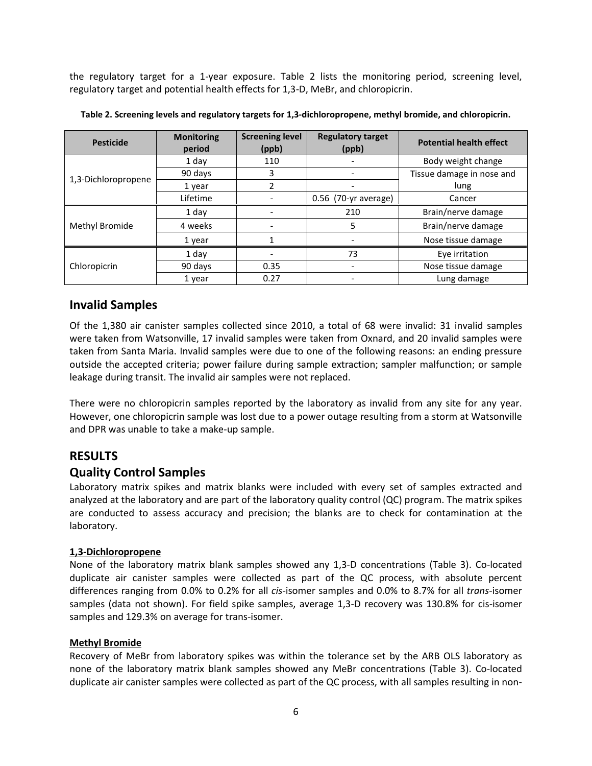the regulatory target for a 1-year exposure. Table 2 lists the monitoring period, screening level, regulatory target and potential health effects for 1,3-D, MeBr, and chloropicrin.

| <b>Pesticide</b>    | <b>Monitoring</b><br>period | <b>Screening level</b><br>(ppb) | <b>Regulatory target</b><br>(ppb) | <b>Potential health effect</b> |
|---------------------|-----------------------------|---------------------------------|-----------------------------------|--------------------------------|
|                     | 1 day                       | 110                             |                                   | Body weight change             |
|                     | 90 days                     | 3                               |                                   | Tissue damage in nose and      |
| 1,3-Dichloropropene | 1 year                      | 2                               |                                   | lung                           |
|                     | Lifetime                    |                                 | $0.56$ (70-yr average)            | Cancer                         |
|                     | 1 day                       |                                 | 210                               | Brain/nerve damage             |
| Methyl Bromide      | 4 weeks                     |                                 | 5                                 | Brain/nerve damage             |
|                     | 1 year                      |                                 |                                   | Nose tissue damage             |
|                     | 1 day                       |                                 | 73                                | Eye irritation                 |
| Chloropicrin        | 90 days                     | 0.35                            |                                   | Nose tissue damage             |
|                     | 1 year                      | 0.27                            |                                   | Lung damage                    |

**Table 2. Screening levels and regulatory targets for 1,3-dichloropropene, methyl bromide, and chloropicrin.**

## **Invalid Samples**

Of the 1,380 air canister samples collected since 2010, a total of 68 were invalid: 31 invalid samples were taken from Watsonville, 17 invalid samples were taken from Oxnard, and 20 invalid samples were taken from Santa Maria. Invalid samples were due to one of the following reasons: an ending pressure outside the accepted criteria; power failure during sample extraction; sampler malfunction; or sample leakage during transit. The invalid air samples were not replaced.

There were no chloropicrin samples reported by the laboratory as invalid from any site for any year. However, one chloropicrin sample was lost due to a power outage resulting from a storm at Watsonville and DPR was unable to take a make-up sample.

## **RESULTS**

## **Quality Control Samples**

Laboratory matrix spikes and matrix blanks were included with every set of samples extracted and analyzed at the laboratory and are part of the laboratory quality control (QC) program. The matrix spikes are conducted to assess accuracy and precision; the blanks are to check for contamination at the laboratory.

### **1,3-Dichloropropene**

None of the laboratory matrix blank samples showed any 1,3-D concentrations (Table 3). Co-located duplicate air canister samples were collected as part of the QC process, with absolute percent differences ranging from 0.0% to 0.2% for all *cis*-isomer samples and 0.0% to 8.7% for all *trans*-isomer samples (data not shown). For field spike samples, average 1,3-D recovery was 130.8% for cis-isomer samples and 129.3% on average for trans-isomer.

### **Methyl Bromide**

Recovery of MeBr from laboratory spikes was within the tolerance set by the ARB OLS laboratory as none of the laboratory matrix blank samples showed any MeBr concentrations (Table 3). Co-located duplicate air canister samples were collected as part of the QC process, with all samples resulting in non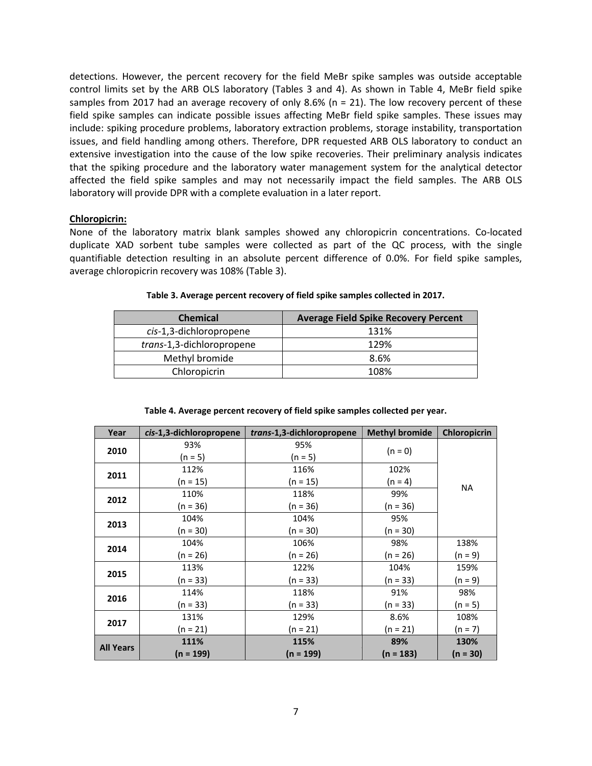detections. However, the percent recovery for the field MeBr spike samples was outside acceptable control limits set by the ARB OLS laboratory [\(Tables](#page-6-0) 3 and 4). As shown in [Table 4,](#page-6-1) MeBr field spike samples from 2017 had an average recovery of only 8.6% (n = 21). The low recovery percent of these field spike samples can indicate possible issues affecting MeBr field spike samples. These issues may include: spiking procedure problems, laboratory extraction problems, storage instability, transportation issues, and field handling among others. Therefore, DPR requested ARB OLS laboratory to conduct an extensive investigation into the cause of the low spike recoveries. Their preliminary analysis indicates that the spiking procedure and the laboratory water management system for the analytical detector affected the field spike samples and may not necessarily impact the field samples. The ARB OLS laboratory will provide DPR with a complete evaluation in a later report.

#### **Chloropicrin:**

None of the laboratory matrix blank samples showed any chloropicrin concentrations. Co-located duplicate XAD sorbent tube samples were collected as part of the QC process, with the single quantifiable detection resulting in an absolute percent difference of 0.0%. For field spike samples, average chloropicrin recovery was 108% (Table 3).

<span id="page-6-0"></span>

| <b>Chemical</b>           | <b>Average Field Spike Recovery Percent</b> |
|---------------------------|---------------------------------------------|
| cis-1,3-dichloropropene   | 131%                                        |
| trans-1,3-dichloropropene | 129%                                        |
| Methyl bromide            | 8.6%                                        |
| Chloropicrin              | 108%                                        |

<span id="page-6-1"></span>

| Year             | cis-1,3-dichloropropene | trans-1,3-dichloropropene | <b>Methyl bromide</b> | Chloropicrin |  |
|------------------|-------------------------|---------------------------|-----------------------|--------------|--|
| 2010             | 93%                     | 95%                       | $(n = 0)$             |              |  |
|                  | $(n = 5)$               | (n = 5)                   |                       |              |  |
| 2011             | 112%                    | 116%                      | 102%                  |              |  |
|                  | $(n = 15)$              | $(n = 15)$                | $(n = 4)$             | NA           |  |
| 2012             | 110%                    | 118%                      | 99%                   |              |  |
|                  | $(n = 36)$              | $(n = 36)$                | $(n = 36)$            |              |  |
| 2013             | 104%                    | 104%                      | 95%                   |              |  |
|                  | $(n = 30)$              | $(n = 30)$                | $(n = 30)$            |              |  |
| 2014             | 104%                    | 106%                      | 98%                   | 138%         |  |
|                  | $(n = 26)$              | $(n = 26)$                | (n = 26)              | (n = 9)      |  |
| 2015             | 113%                    | 122%                      | 104%                  | 159%         |  |
|                  | $(n = 33)$              | $(n = 33)$                | $(n = 33)$            | $(n = 9)$    |  |
| 2016             | 114%                    | 118%                      | 91%                   | 98%          |  |
|                  | $(n = 33)$              | $(n = 33)$                | $(n = 33)$            | $(n = 5)$    |  |
| 2017             | 131%                    | 129%                      | 8.6%                  | 108%         |  |
|                  | $(n = 21)$              | $(n = 21)$                | $(n = 21)$            | $(n = 7)$    |  |
| <b>All Years</b> | 111%                    | 115%                      | 89%                   | 130%         |  |
|                  | (n = 199)               | (n = 199)                 | $(n = 183)$           | (n = 30)     |  |

#### **Table 4. Average percent recovery of field spike samples collected per year.**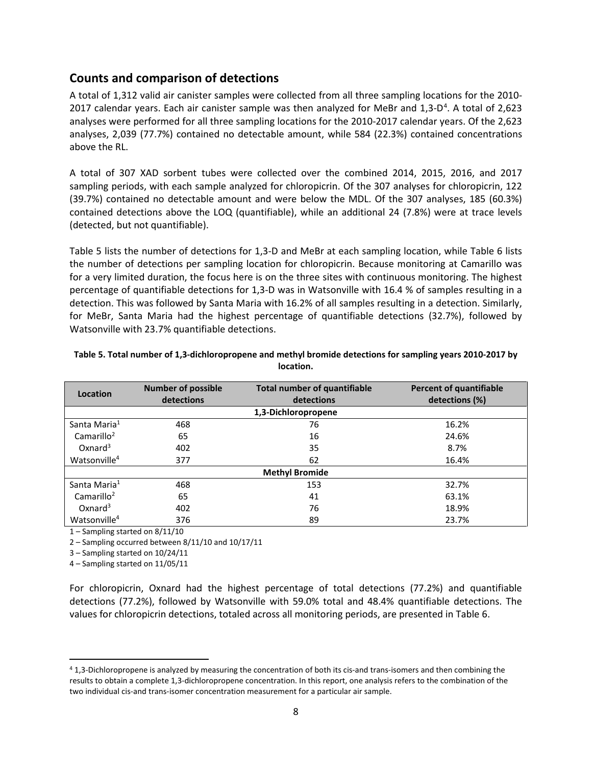## **Counts and comparison of detections**

A total of 1,312 valid air canister samples were collected from all three sampling locations for the 2010- 2017 calendar years. Each air canister sample was then analyzed for MeBr and  $1,3$ -D<sup>[4](#page-7-1)</sup>. A total of 2,623 analyses were performed for all three sampling locations for the 2010-2017 calendar years. Of the 2,623 analyses, 2,039 (77.7%) contained no detectable amount, while 584 (22.3%) contained concentrations above the RL.

A total of 307 XAD sorbent tubes were collected over the combined 2014, 2015, 2016, and 2017 sampling periods, with each sample analyzed for chloropicrin. Of the 307 analyses for chloropicrin, 122 (39.7%) contained no detectable amount and were below the MDL. Of the 307 analyses, 185 (60.3%) contained detections above the LOQ (quantifiable), while an additional 24 (7.8%) were at trace levels (detected, but not quantifiable).

[Table 5](#page-7-0) lists the number of detections for 1,3-D and MeBr at each sampling location, while [Table 6](#page-8-0) lists the number of detections per sampling location for chloropicrin. Because monitoring at Camarillo was for a very limited duration, the focus here is on the three sites with continuous monitoring. The highest percentage of quantifiable detections for 1,3-D was in Watsonville with 16.4 % of samples resulting in a detection. This was followed by Santa Maria with 16.2% of all samples resulting in a detection. Similarly, for MeBr, Santa Maria had the highest percentage of quantifiable detections (32.7%), followed by Watsonville with 23.7% quantifiable detections.

| Location                 | <b>Number of possible</b><br>detections | <b>Total number of quantifiable</b><br>detections | <b>Percent of quantifiable</b><br>detections (%) |
|--------------------------|-----------------------------------------|---------------------------------------------------|--------------------------------------------------|
|                          |                                         | 1,3-Dichloropropene                               |                                                  |
| Santa Maria <sup>1</sup> | 468                                     | 76                                                | 16.2%                                            |
| Camarillo <sup>2</sup>   | 65                                      | 16                                                | 24.6%                                            |
| Oxnard <sup>3</sup>      | 402                                     | 35                                                | 8.7%                                             |
| Watsonville <sup>4</sup> | 377                                     | 62                                                | 16.4%                                            |
|                          |                                         | <b>Methyl Bromide</b>                             |                                                  |
| Santa Maria <sup>1</sup> | 468                                     | 153                                               | 32.7%                                            |
| Camarillo <sup>2</sup>   | 65                                      | 41                                                | 63.1%                                            |
| Oxnard $3$               | 402                                     | 76                                                | 18.9%                                            |
| Watsonville <sup>4</sup> | 376                                     | 89                                                | 23.7%                                            |

#### <span id="page-7-0"></span>**Table 5. Total number of 1,3-dichloropropene and methyl bromide detections for sampling years 2010-2017 by location.**

1 – Sampling started on 8/11/10

2 – Sampling occurred between 8/11/10 and 10/17/11

3 – Sampling started on 10/24/11

4 – Sampling started on 11/05/11

For chloropicrin, Oxnard had the highest percentage of total detections (77.2%) and quantifiable detections (77.2%), followed by Watsonville with 59.0% total and 48.4% quantifiable detections. The values for chloropicrin detections, totaled across all monitoring periods, are presented i[n Table 6.](#page-8-0)

<span id="page-7-1"></span> <sup>4</sup> 1,3-Dichloropropene is analyzed by measuring the concentration of both its cis-and trans-isomers and then combining the results to obtain a complete 1,3-dichloropropene concentration. In this report, one analysis refers to the combination of the two individual cis-and trans-isomer concentration measurement for a particular air sample.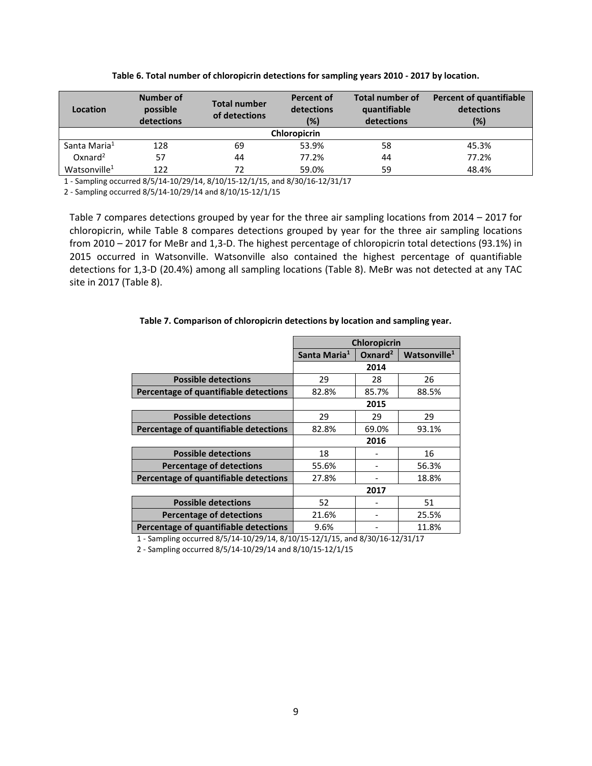<span id="page-8-0"></span>

| Location                 | Number of<br>possible<br>detections | Total number<br>of detections | Percent of<br>detections<br>(%) | <b>Total number of</b><br>quantifiable<br>detections | <b>Percent of quantifiable</b><br>detections<br>(%) |
|--------------------------|-------------------------------------|-------------------------------|---------------------------------|------------------------------------------------------|-----------------------------------------------------|
|                          |                                     |                               | <b>Chloropicrin</b>             |                                                      |                                                     |
| Santa Maria <sup>1</sup> | 128                                 | 69                            | 53.9%                           | 58                                                   | 45.3%                                               |
| $Ox$ nard <sup>2</sup>   | 57                                  | 44                            | 77.2%                           | 44                                                   | 77.2%                                               |
| Watsonville <sup>1</sup> | 122                                 | 72                            | 59.0%                           | 59                                                   | 48.4%                                               |

**Table 6. Total number of chloropicrin detections for sampling years 2010 - 2017 by location.**

1 - Sampling occurred 8/5/14-10/29/14, 8/10/15-12/1/15, and 8/30/16-12/31/17

2 - Sampling occurred 8/5/14-10/29/14 and 8/10/15-12/1/15

[Table 7](#page-8-1) compares detections grouped by year for the three air sampling locations from 2014 – 2017 for chloropicrin, while Table 8 compares detections grouped by year for the three air sampling locations from 2010 – 2017 for MeBr and 1,3-D. The highest percentage of chloropicrin total detections (93.1%) in 2015 occurred in Watsonville. Watsonville also contained the highest percentage of quantifiable detections for 1,3-D (20.4%) among all sampling locations (Table 8). MeBr was not detected at any TAC site in 2017 (Table 8).

|                                       | <b>Chloropicrin</b>      |                     |                          |  |  |
|---------------------------------------|--------------------------|---------------------|--------------------------|--|--|
|                                       | Santa Maria <sup>1</sup> | Oxnard <sup>2</sup> | Watsonville <sup>1</sup> |  |  |
|                                       |                          | 2014                |                          |  |  |
| <b>Possible detections</b>            | 29                       | 28                  | 26                       |  |  |
| Percentage of quantifiable detections | 82.8%                    | 85.7%               | 88.5%                    |  |  |
|                                       |                          | 2015                |                          |  |  |
| <b>Possible detections</b>            | 29                       | 29                  | 29                       |  |  |
| Percentage of quantifiable detections | 82.8%                    | 69.0%               | 93.1%                    |  |  |
|                                       | 2016                     |                     |                          |  |  |
| <b>Possible detections</b>            | 18                       |                     | 16                       |  |  |
| <b>Percentage of detections</b>       | 55.6%                    |                     | 56.3%                    |  |  |
| Percentage of quantifiable detections | 27.8%                    |                     | 18.8%                    |  |  |
|                                       |                          | 2017                |                          |  |  |
| <b>Possible detections</b>            | 52                       |                     | 51                       |  |  |
| <b>Percentage of detections</b>       | 21.6%                    |                     | 25.5%                    |  |  |
| Percentage of quantifiable detections | 9.6%                     |                     | 11.8%                    |  |  |

#### <span id="page-8-1"></span>**Table 7. Comparison of chloropicrin detections by location and sampling year.**

1 - Sampling occurred 8/5/14-10/29/14, 8/10/15-12/1/15, and 8/30/16-12/31/17

2 - Sampling occurred 8/5/14-10/29/14 and 8/10/15-12/1/15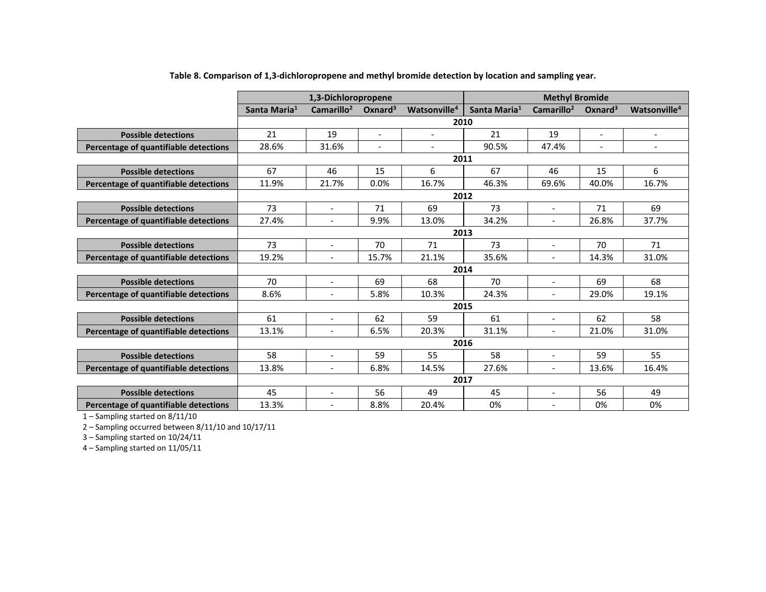|                                       |                          | 1,3-Dichloropropene      |                     |                          | <b>Methyl Bromide</b>    |                          |                     |                          |
|---------------------------------------|--------------------------|--------------------------|---------------------|--------------------------|--------------------------|--------------------------|---------------------|--------------------------|
|                                       | Santa Maria <sup>1</sup> | Camarillo <sup>2</sup>   | Oxnard <sup>3</sup> | Watsonville <sup>4</sup> | Santa Maria <sup>1</sup> | Camarillo <sup>2</sup>   | Oxnard <sup>3</sup> | Watsonville <sup>4</sup> |
|                                       |                          |                          |                     | 2010                     |                          |                          |                     |                          |
| <b>Possible detections</b>            | 21                       | 19                       | $\overline{a}$      | $\overline{\phantom{a}}$ | 21                       | 19                       | $\blacksquare$      | $\blacksquare$           |
| Percentage of quantifiable detections | 28.6%                    | 31.6%                    | $\overline{a}$      | $\sim$                   | 90.5%                    | 47.4%                    | $\blacksquare$      | $\overline{\phantom{0}}$ |
|                                       |                          |                          |                     | 2011                     |                          |                          |                     |                          |
| <b>Possible detections</b>            | 67                       | 46                       | 15                  | 6                        | 67                       | 46                       | 15                  | 6                        |
| Percentage of quantifiable detections | 11.9%                    | 21.7%                    | 0.0%                | 16.7%                    | 46.3%                    | 69.6%                    | 40.0%               | 16.7%                    |
|                                       |                          |                          |                     | 2012                     |                          |                          |                     |                          |
| <b>Possible detections</b>            | 73                       | $\blacksquare$           | 71                  | 69                       | 73                       | $\blacksquare$           | 71                  | 69                       |
| Percentage of quantifiable detections | 27.4%                    | $\overline{\phantom{a}}$ | 9.9%                | 13.0%                    | 34.2%                    | $\overline{\phantom{a}}$ | 26.8%               | 37.7%                    |
|                                       | 2013                     |                          |                     |                          |                          |                          |                     |                          |
| <b>Possible detections</b>            | 73                       | $\overline{\phantom{a}}$ | 70                  | 71                       | 73                       | $\overline{\phantom{a}}$ | 70                  | 71                       |
| Percentage of quantifiable detections | 19.2%                    |                          | 15.7%               | 21.1%                    | 35.6%                    |                          | 14.3%               | 31.0%                    |
|                                       |                          |                          |                     | 2014                     |                          |                          |                     |                          |
| <b>Possible detections</b>            | 70                       | $\overline{\phantom{a}}$ | 69                  | 68                       | 70                       | $\overline{\phantom{a}}$ | 69                  | 68                       |
| Percentage of quantifiable detections | 8.6%                     | $\blacksquare$           | 5.8%                | 10.3%                    | 24.3%                    | $\overline{\phantom{a}}$ | 29.0%               | 19.1%                    |
|                                       |                          |                          |                     | 2015                     |                          |                          |                     |                          |
| <b>Possible detections</b>            | 61                       | $\overline{\phantom{a}}$ | 62                  | 59                       | 61                       | $\overline{\phantom{a}}$ | 62                  | 58                       |
| Percentage of quantifiable detections | 13.1%                    | $\overline{\phantom{a}}$ | 6.5%                | 20.3%                    | 31.1%                    | $\overline{\phantom{a}}$ | 21.0%               | 31.0%                    |
|                                       | 2016                     |                          |                     |                          |                          |                          |                     |                          |
| <b>Possible detections</b>            | 58                       | $\overline{a}$           | 59                  | 55                       | 58                       |                          | 59                  | 55                       |
| Percentage of quantifiable detections | 13.8%                    | $\blacksquare$           | 6.8%                | 14.5%                    | 27.6%                    | $\overline{\phantom{a}}$ | 13.6%               | 16.4%                    |
|                                       | 2017                     |                          |                     |                          |                          |                          |                     |                          |
| <b>Possible detections</b>            | 45                       | $\overline{\phantom{a}}$ | 56                  | 49                       | 45                       | $\blacksquare$           | 56                  | 49                       |
| Percentage of quantifiable detections | 13.3%                    | $\overline{\phantom{a}}$ | 8.8%                | 20.4%                    | 0%                       | $\overline{\phantom{a}}$ | 0%                  | 0%                       |

**Table 8. Comparison of 1,3-dichloropropene and methyl bromide detection by location and sampling year.**

1 – Sampling started on 8/11/10

2 – Sampling occurred between 8/11/10 and 10/17/11

3 – Sampling started on 10/24/11

4 – Sampling started on 11/05/11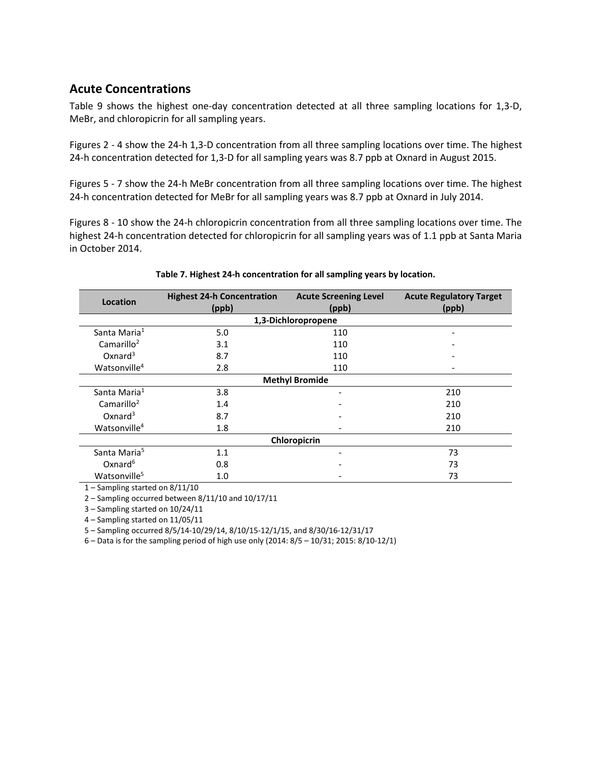## **Acute Concentrations**

[Table](#page-10-0) 9 shows the highest one-day concentration detected at all three sampling locations for 1,3-D, MeBr, and chloropicrin for all sampling years.

[Figures](#page-11-0) 2 - 4 show the 24-h 1,3-D concentration from all three sampling locations over time. The highest 24-h concentration detected for 1,3-D for all sampling years was 8.7 ppb at Oxnard in August 2015.

Figures 5 - 7 show the 24-h MeBr concentration from all three sampling locations over time. The highest 24-h concentration detected for MeBr for all sampling years was 8.7 ppb at Oxnard in July 2014.

Figures 8 - 10 show the 24-h chloropicrin concentration from all three sampling locations over time. The highest 24-h concentration detected for chloropicrin for all sampling years was of 1.1 ppb at Santa Maria in October 2014.

<span id="page-10-0"></span>

| Location                 | <b>Highest 24-h Concentration</b> | <b>Acute Regulatory Target</b> |       |  |  |  |  |
|--------------------------|-----------------------------------|--------------------------------|-------|--|--|--|--|
|                          | (ppb)                             | (ppb)                          | (ppb) |  |  |  |  |
|                          |                                   | 1,3-Dichloropropene            |       |  |  |  |  |
| Santa Maria <sup>1</sup> | 5.0                               | 110                            | -     |  |  |  |  |
| Camarillo <sup>2</sup>   | 3.1                               | 110                            |       |  |  |  |  |
| Oxnard <sup>3</sup>      | 8.7                               | 110                            |       |  |  |  |  |
| Watsonville <sup>4</sup> | 2.8                               | 110                            |       |  |  |  |  |
|                          | <b>Methyl Bromide</b>             |                                |       |  |  |  |  |
| Santa Maria <sup>1</sup> | 3.8                               |                                | 210   |  |  |  |  |
| Camarillo <sup>2</sup>   | 1.4                               |                                | 210   |  |  |  |  |
| Oxnard <sup>3</sup>      | 8.7                               |                                | 210   |  |  |  |  |
| Watsonville <sup>4</sup> | 1.8                               |                                | 210   |  |  |  |  |
| Chloropicrin             |                                   |                                |       |  |  |  |  |
| Santa Maria <sup>5</sup> | 1.1                               |                                | 73    |  |  |  |  |
| $Ox$ nard <sup>6</sup>   | 0.8                               |                                | 73    |  |  |  |  |
| Watsonville <sup>5</sup> | 1.0                               |                                | 73    |  |  |  |  |

#### **Table 7. Highest 24-h concentration for all sampling years by location.**

1 – Sampling started on 8/11/10

2 – Sampling occurred between 8/11/10 and 10/17/11

3 – Sampling started on 10/24/11

4 – Sampling started on 11/05/11

5 – Sampling occurred 8/5/14-10/29/14, 8/10/15-12/1/15, and 8/30/16-12/31/17

6 – Data is for the sampling period of high use only (2014: 8/5 – 10/31; 2015: 8/10-12/1)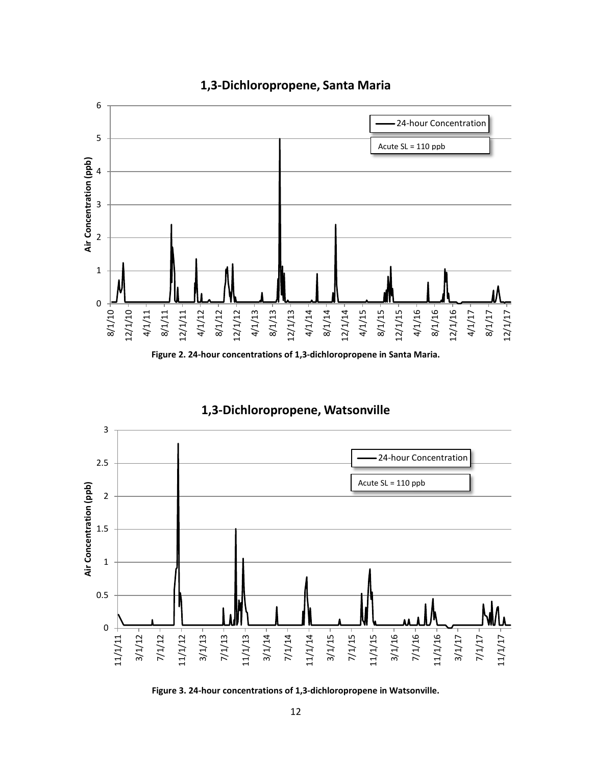

## **1,3-Dichloropropene, Santa Maria**

**Figure 2. 24-hour concentrations of 1,3-dichloropropene in Santa Maria.**

## **1,3-Dichloropropene, Watsonville**

<span id="page-11-0"></span>

**Figure 3. 24-hour concentrations of 1,3-dichloropropene in Watsonville.**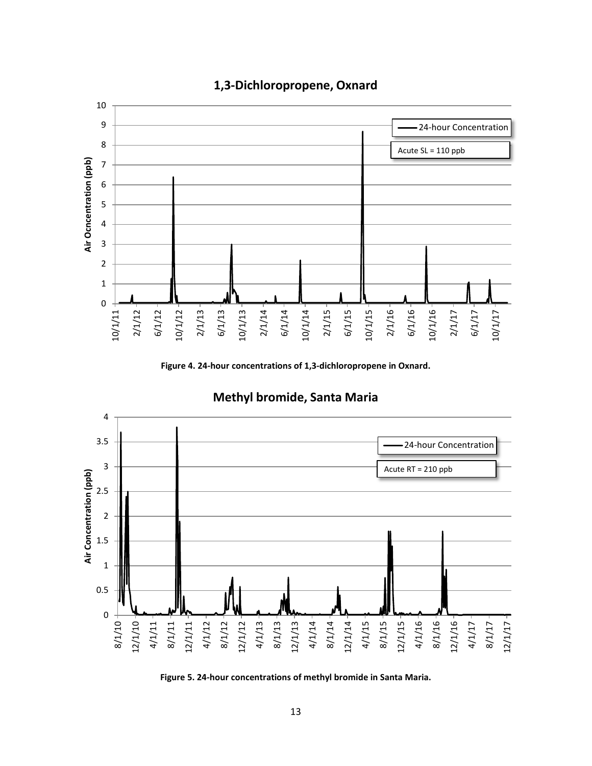

## **1,3-Dichloropropene, Oxnard**

**Figure 4. 24-hour concentrations of 1,3-dichloropropene in Oxnard.**



## **Methyl bromide, Santa Maria**

**Figure 5. 24-hour concentrations of methyl bromide in Santa Maria.**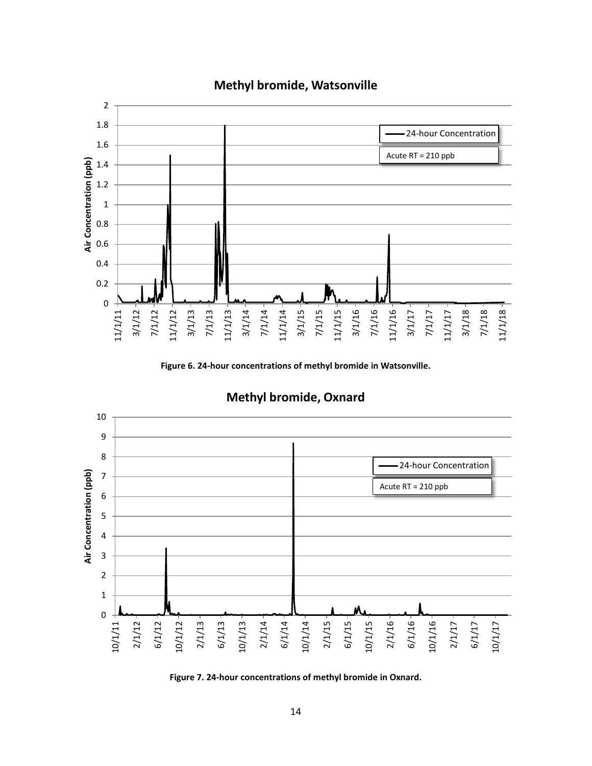

## **Methyl bromide, Watsonville**

**Figure 6. 24-hour concentrations of methyl bromide in Watsonville.**



## **Methyl bromide, Oxnard**

**Figure 7. 24-hour concentrations of methyl bromide in Oxnard.**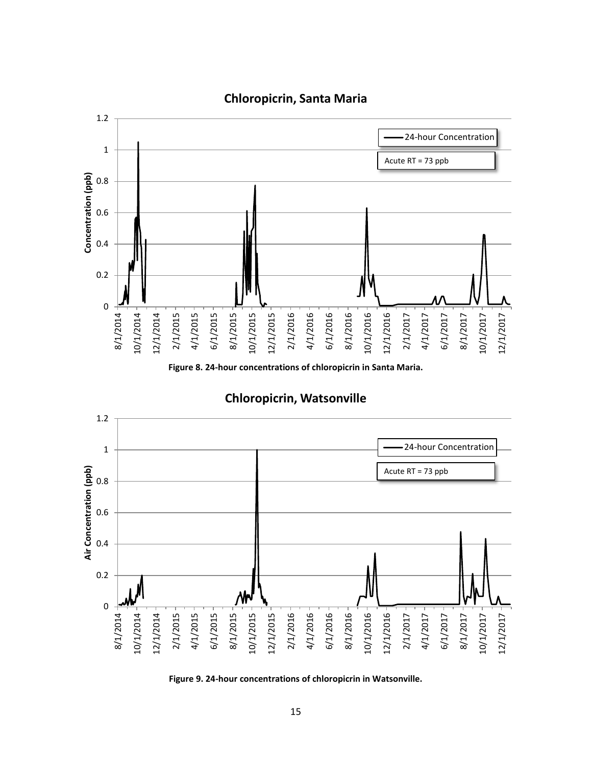

**Figure 8. 24-hour concentrations of chloropicrin in Santa Maria.**

**Chloropicrin, Watsonville**



**Figure 9. 24-hour concentrations of chloropicrin in Watsonville.**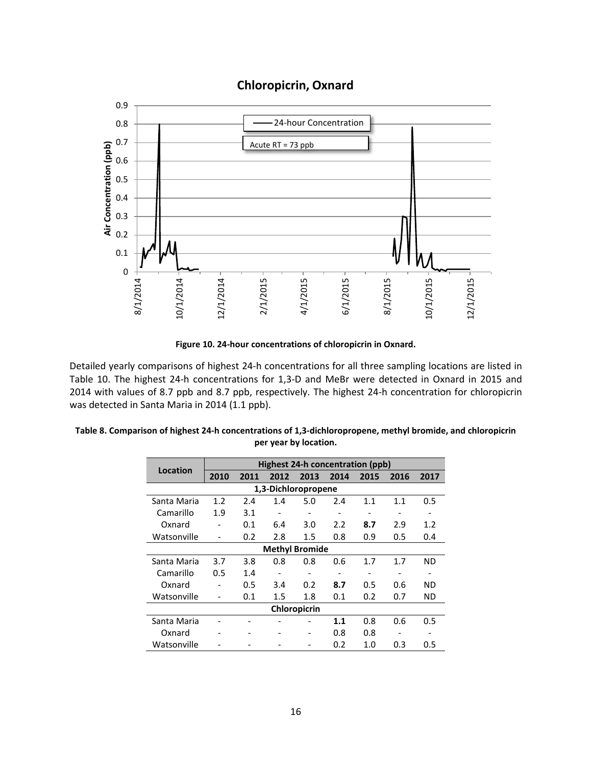## **Chloropicrin, Oxnard**



**Figure 10. 24-hour concentrations of chloropicrin in Oxnard.**

Detailed yearly comparisons of highest 24-h concentrations for all three sampling locations are listed in [Table 10.](#page-15-0) The highest 24-h concentrations for 1,3-D and MeBr were detected in Oxnard in 2015 and 2014 with values of 8.7 ppb and 8.7 ppb, respectively. The highest 24-h concentration for chloropicrin was detected in Santa Maria in 2014 (1.1 ppb).

|             |                          | <b>Highest 24-h concentration (ppb)</b> |      |                       |                          |                   |                          |                              |
|-------------|--------------------------|-----------------------------------------|------|-----------------------|--------------------------|-------------------|--------------------------|------------------------------|
| Location    | 2010                     | 2011                                    | 2012 | 2013                  | 2014                     | 2015              | 2016                     | 2017                         |
|             |                          |                                         |      | 1,3-Dichloropropene   |                          |                   |                          |                              |
| Santa Maria | 1.2                      | 2.4                                     | 1.4  | 5.0                   | 2.4                      | 1.1               | 1.1                      | 0.5                          |
| Camarillo   | 1.9                      | 3.1                                     |      |                       | $\overline{\phantom{0}}$ | $\qquad \qquad -$ |                          |                              |
| Oxnard      | $\overline{\phantom{a}}$ | 0.1                                     | 6.4  | 3.0                   | 2.2                      | 8.7               | 2.9                      | 1.2                          |
| Watsonville | $\overline{\phantom{a}}$ | 0.2                                     | 2.8  | 1.5                   | 0.8                      | 0.9               | 0.5                      | 0.4                          |
|             |                          |                                         |      | <b>Methyl Bromide</b> |                          |                   |                          |                              |
| Santa Maria | 3.7                      | 3.8                                     | 0.8  | 0.8                   | 0.6                      | 1.7               | 1.7                      | <b>ND</b>                    |
| Camarillo   | 0.5                      | 1.4                                     |      |                       | $\overline{\phantom{0}}$ | $\qquad \qquad -$ | $\overline{\phantom{0}}$ | $\qquad \qquad \blacksquare$ |
| Oxnard      |                          | 0.5                                     | 3.4  | 0.2                   | 8.7                      | 0.5               | 0.6                      | <b>ND</b>                    |
| Watsonville | $\overline{\phantom{a}}$ | 0.1                                     | 1.5  | 1.8                   | 0.1                      | 0.2               | 0.7                      | ND                           |
|             |                          |                                         |      | Chloropicrin          |                          |                   |                          |                              |
| Santa Maria |                          |                                         |      |                       | 1.1                      | 0.8               | 0.6                      | 0.5                          |
| Oxnard      |                          |                                         |      | -                     | 0.8                      | 0.8               | ٠                        |                              |
| Watsonville |                          |                                         |      |                       | 0.2                      | 1.0               | 0.3                      | 0.5                          |

<span id="page-15-0"></span>

| Table 8. Comparison of highest 24-h concentrations of 1,3-dichloropropene, methyl bromide, and chloropicrin |
|-------------------------------------------------------------------------------------------------------------|
| per year by location.                                                                                       |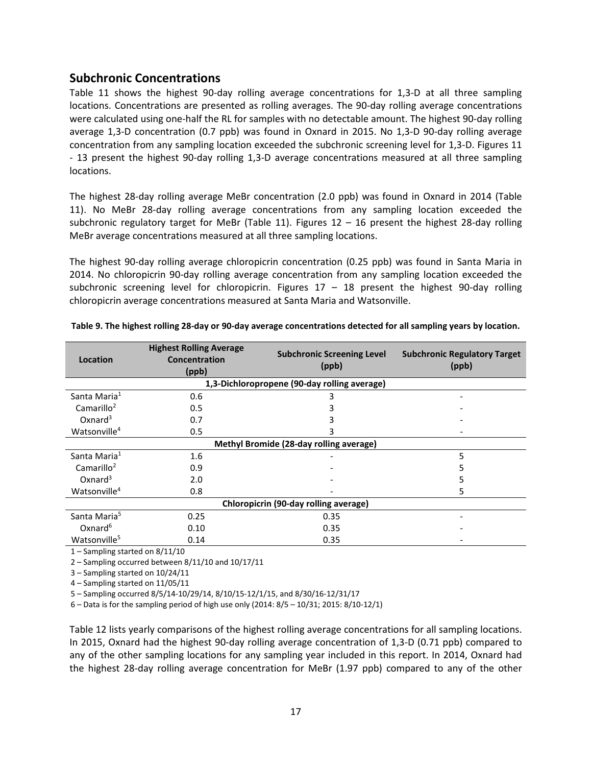## **Subchronic Concentrations**

[Table 11](#page-16-0) shows the highest 90-day rolling average concentrations for 1,3-D at all three sampling locations. Concentrations are presented as rolling averages. The 90-day rolling average concentrations were calculated using one-half the RL for samples with no detectable amount. The highest 90-day rolling average 1,3-D concentration (0.7 ppb) was found in Oxnard in 2015. No 1,3-D 90-day rolling average concentration from any sampling location exceeded the subchronic screening level for 1,3-D. Figures 11 - 13 present the highest 90-day rolling 1,3-D average concentrations measured at all three sampling locations.

The highest 28-day rolling average MeBr concentration (2.0 ppb) was found in Oxnard in 2014 (Table 11). No MeBr 28-day rolling average concentrations from any sampling location exceeded the subchronic regulatory target for MeBr (Table 11). Figures  $12 - 16$  present the highest 28-day rolling MeBr average concentrations measured at all three sampling locations.

The highest 90-day rolling average chloropicrin concentration (0.25 ppb) was found in Santa Maria in 2014. No chloropicrin 90-day rolling average concentration from any sampling location exceeded the subchronic screening level for chloropicrin. Figures  $17 - 18$  present the highest 90-day rolling chloropicrin average concentrations measured at Santa Maria and Watsonville.

| Location                 | <b>Highest Rolling Average</b><br>Concentration<br>(ppb) | <b>Subchronic Screening Level</b><br>(ppb)   | <b>Subchronic Regulatory Target</b><br>(ppb) |  |  |  |  |  |  |
|--------------------------|----------------------------------------------------------|----------------------------------------------|----------------------------------------------|--|--|--|--|--|--|
|                          |                                                          | 1,3-Dichloropropene (90-day rolling average) |                                              |  |  |  |  |  |  |
| Santa Maria <sup>1</sup> | 0.6                                                      | 3                                            |                                              |  |  |  |  |  |  |
| Camarillo <sup>2</sup>   | 0.5                                                      |                                              |                                              |  |  |  |  |  |  |
| $Ox$ nard <sup>3</sup>   | 0.7                                                      |                                              |                                              |  |  |  |  |  |  |
| Watsonville <sup>4</sup> | 0.5                                                      | R                                            |                                              |  |  |  |  |  |  |
|                          | Methyl Bromide (28-day rolling average)                  |                                              |                                              |  |  |  |  |  |  |
| Santa Maria <sup>1</sup> | 1.6                                                      |                                              | 5                                            |  |  |  |  |  |  |
| Camarillo <sup>2</sup>   | 0.9                                                      |                                              |                                              |  |  |  |  |  |  |
| $Ox$ nard <sup>3</sup>   | 2.0                                                      |                                              | ל                                            |  |  |  |  |  |  |
| Watsonville <sup>4</sup> | 0.8                                                      |                                              | 5                                            |  |  |  |  |  |  |
|                          | Chloropicrin (90-day rolling average)                    |                                              |                                              |  |  |  |  |  |  |
| Santa Maria <sup>5</sup> | 0.25                                                     | 0.35                                         |                                              |  |  |  |  |  |  |
| $Ox$ nard <sup>6</sup>   | 0.10                                                     | 0.35                                         |                                              |  |  |  |  |  |  |
| Watsonville <sup>5</sup> | 0.14                                                     | 0.35                                         |                                              |  |  |  |  |  |  |

<span id="page-16-0"></span>

1 – Sampling started on 8/11/10

2 – Sampling occurred between 8/11/10 and 10/17/11

3 – Sampling started on 10/24/11

4 – Sampling started on 11/05/11

5 – Sampling occurred 8/5/14-10/29/14, 8/10/15-12/1/15, and 8/30/16-12/31/17

6 – Data is for the sampling period of high use only (2014: 8/5 – 10/31; 2015: 8/10-12/1)

[Table 12](#page-17-0) lists yearly comparisons of the highest rolling average concentrations for all sampling locations. In 2015, Oxnard had the highest 90-day rolling average concentration of 1,3-D (0.71 ppb) compared to any of the other sampling locations for any sampling year included in this report. In 2014, Oxnard had the highest 28-day rolling average concentration for MeBr (1.97 ppb) compared to any of the other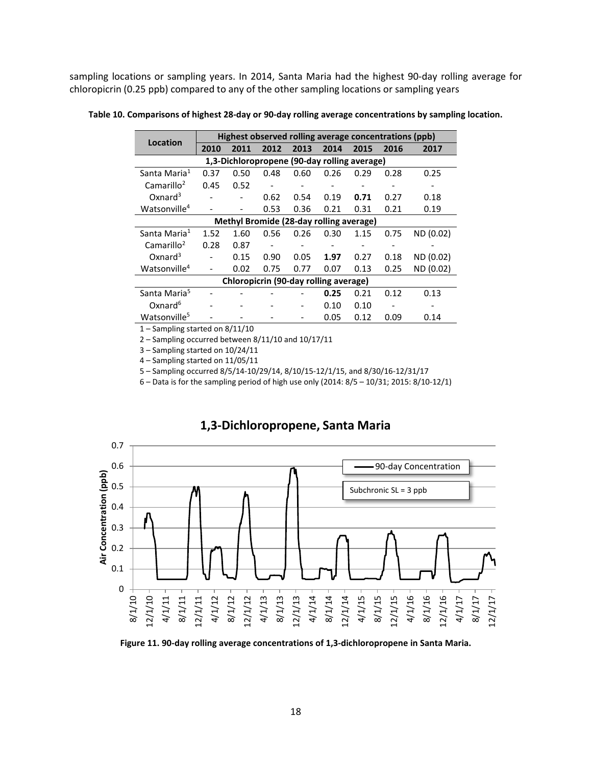sampling locations or sampling years. In 2014, Santa Maria had the highest 90-day rolling average for chloropicrin (0.25 ppb) compared to any of the other sampling locations or sampling years

<span id="page-17-0"></span>**Table 10. Comparisons of highest 28-day or 90-day rolling average concentrations by sampling location.**

| Location                                     |      | Highest observed rolling average concentrations (ppb) |                          |      |      |      |      |           |  |  |  |
|----------------------------------------------|------|-------------------------------------------------------|--------------------------|------|------|------|------|-----------|--|--|--|
|                                              | 2010 | 2011                                                  | 2012                     | 2013 | 2014 | 2015 | 2016 | 2017      |  |  |  |
| 1,3-Dichloropropene (90-day rolling average) |      |                                                       |                          |      |      |      |      |           |  |  |  |
| Santa Maria <sup>1</sup>                     | 0.37 | 0.50                                                  | 0.48                     | 0.60 | 0.26 | 0.29 | 0.28 | 0.25      |  |  |  |
| Camarillo <sup>2</sup>                       | 0.45 | 0.52                                                  |                          |      |      |      |      |           |  |  |  |
| $Ox$ nard <sup>3</sup>                       |      |                                                       | 0.62                     | 0.54 | 0.19 | 0.71 | 0.27 | 0.18      |  |  |  |
| Watsonville <sup>4</sup>                     |      |                                                       | 0.53                     | 0.36 | 0.21 | 0.31 | 0.21 | 0.19      |  |  |  |
|                                              |      | Methyl Bromide (28-day rolling average)               |                          |      |      |      |      |           |  |  |  |
| Santa Maria <sup>1</sup>                     | 1.52 | 1.60                                                  | 0.56                     | 0.26 | 0.30 | 1.15 | 0.75 | ND (0.02) |  |  |  |
| Camarillo <sup>2</sup>                       | 0.28 | 0.87                                                  | $\overline{\phantom{a}}$ |      |      |      |      |           |  |  |  |
| Oxnard $3$                                   |      | 0.15                                                  | 0.90                     | 0.05 | 1.97 | 0.27 | 0.18 | ND (0.02) |  |  |  |
| Watsonville <sup>4</sup>                     |      | 0.02                                                  | 0.75                     | 0.77 | 0.07 | 0.13 | 0.25 | ND (0.02) |  |  |  |
|                                              |      | Chloropicrin (90-day rolling average)                 |                          |      |      |      |      |           |  |  |  |
| Santa Maria <sup>5</sup>                     |      |                                                       |                          |      | 0.25 | 0.21 | 0.12 | 0.13      |  |  |  |
| Oxnard <sup>6</sup>                          |      |                                                       |                          |      | 0.10 | 0.10 |      |           |  |  |  |
| Watsonville <sup>5</sup>                     |      |                                                       |                          |      | 0.05 | 0.12 | 0.09 | 0.14      |  |  |  |
|                                              |      | $-1.111$                                              |                          |      |      |      |      |           |  |  |  |

1 – Sampling started on 8/11/10

2 – Sampling occurred between 8/11/10 and 10/17/11

3 – Sampling started on 10/24/11

4 – Sampling started on 11/05/11

5 – Sampling occurred 8/5/14-10/29/14, 8/10/15-12/1/15, and 8/30/16-12/31/17

6 – Data is for the sampling period of high use only (2014: 8/5 – 10/31; 2015: 8/10-12/1)



### **1,3-Dichloropropene, Santa Maria**

**Figure 11. 90-day rolling average concentrations of 1,3-dichloropropene in Santa Maria.**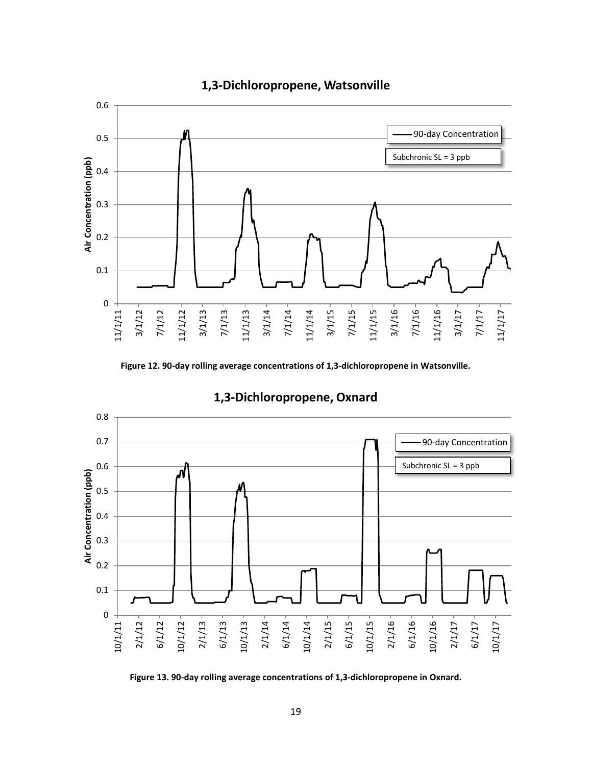

## **1,3-Dichloropropene, Watsonville**

**Figure 12. 90-day rolling average concentrations of 1,3-dichloropropene in Watsonville.**



## **1,3-Dichloropropene, Oxnard**

**Figure 13. 90-day rolling average concentrations of 1,3-dichloropropene in Oxnard.**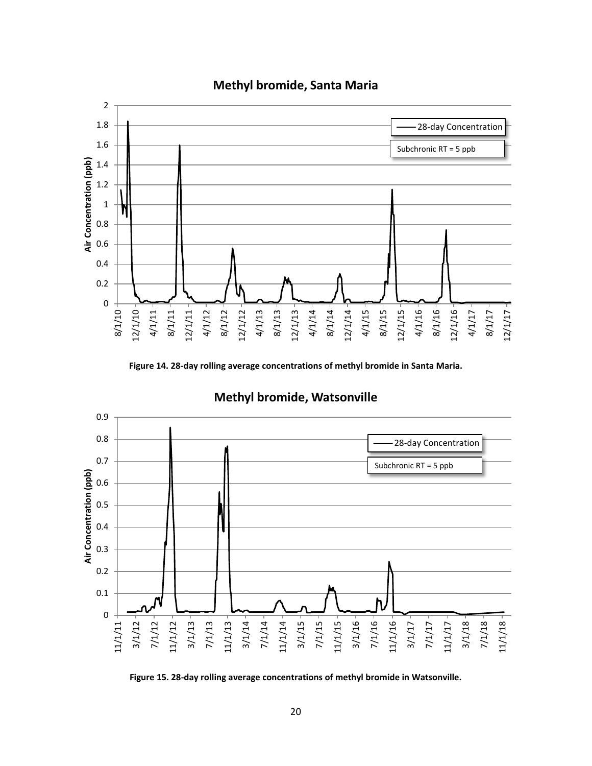

## **Methyl bromide, Santa Maria**

**Figure 14. 28-day rolling average concentrations of methyl bromide in Santa Maria.**



## **Methyl bromide, Watsonville**

**Figure 15. 28-day rolling average concentrations of methyl bromide in Watsonville.**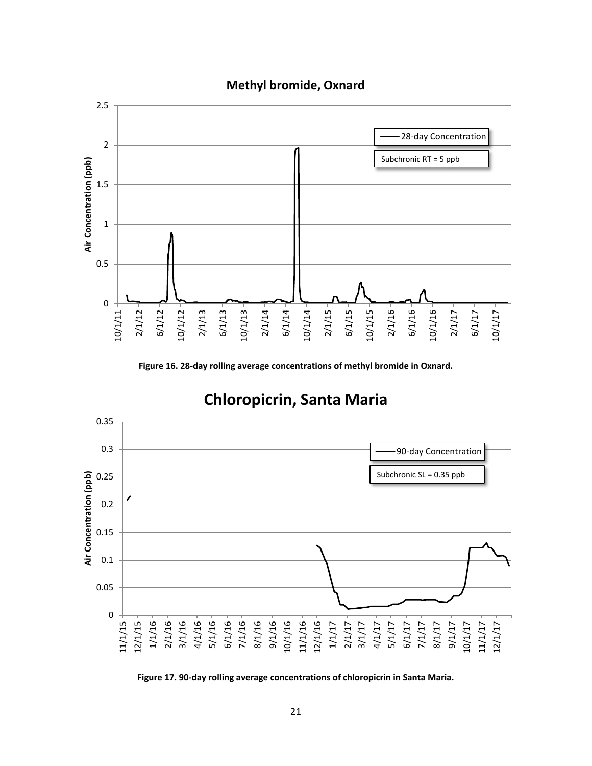

## **Methyl bromide, Oxnard**

**Figure 16. 28-day rolling average concentrations of methyl bromide in Oxnard.**



# **Chloropicrin, Santa Maria**

**Figure 17. 90-day rolling average concentrations of chloropicrin in Santa Maria.**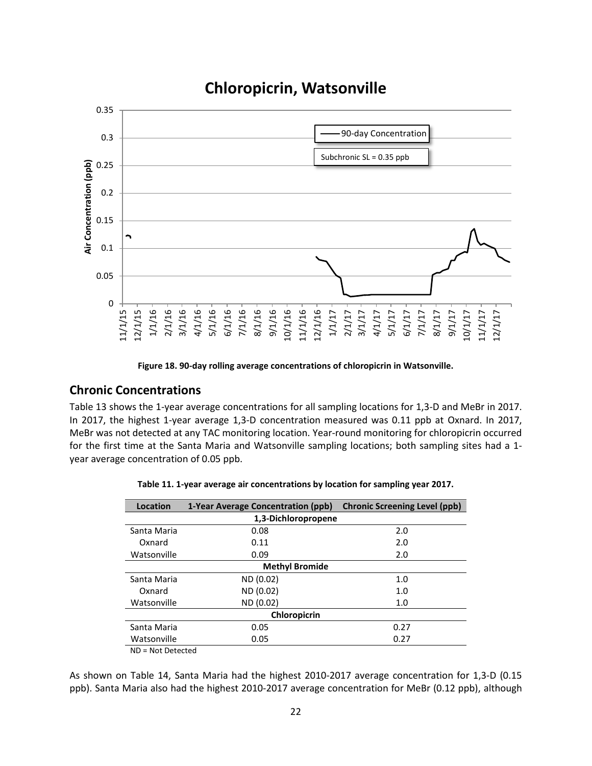

## **Chloropicrin, Watsonville**

**Figure 18. 90-day rolling average concentrations of chloropicrin in Watsonville.**

## **Chronic Concentrations**

Table 13 shows the 1-year average concentrations for all sampling locations for 1,3-D and MeBr in 2017. In 2017, the highest 1-year average 1,3-D concentration measured was 0.11 ppb at Oxnard. In 2017, MeBr was not detected at any TAC monitoring location. Year-round monitoring for chloropicrin occurred for the first time at the Santa Maria and Watsonville sampling locations; both sampling sites had a 1 year average concentration of 0.05 ppb.

| Location              | 1-Year Average Concentration (ppb) | <b>Chronic Screening Level (ppb)</b> |  |  |  |  |  |  |
|-----------------------|------------------------------------|--------------------------------------|--|--|--|--|--|--|
| 1,3-Dichloropropene   |                                    |                                      |  |  |  |  |  |  |
| Santa Maria           | 0.08                               | 2.0                                  |  |  |  |  |  |  |
| Oxnard                | 0.11                               | 2.0                                  |  |  |  |  |  |  |
| Watsonville           | 0.09                               | 2.0                                  |  |  |  |  |  |  |
| <b>Methyl Bromide</b> |                                    |                                      |  |  |  |  |  |  |
| Santa Maria           | ND (0.02)                          | 1.0                                  |  |  |  |  |  |  |
| Oxnard                | ND (0.02)                          | 1.0                                  |  |  |  |  |  |  |
| Watsonville           | ND (0.02)                          | 1.0                                  |  |  |  |  |  |  |
| Chloropicrin          |                                    |                                      |  |  |  |  |  |  |
| Santa Maria           | 0.05                               | 0.27                                 |  |  |  |  |  |  |
| Watsonville           | 0.05                               | 0.27                                 |  |  |  |  |  |  |
| $\cdots$ $\cdots$     |                                    |                                      |  |  |  |  |  |  |

| Table 11. 1-year average air concentrations by location for sampling year 2017. |  |  |  |
|---------------------------------------------------------------------------------|--|--|--|
|---------------------------------------------------------------------------------|--|--|--|

ND = Not Detected

As shown on [Table 14,](#page-22-0) Santa Maria had the highest 2010-2017 average concentration for 1,3-D (0.15 ppb). Santa Maria also had the highest 2010-2017 average concentration for MeBr (0.12 ppb), although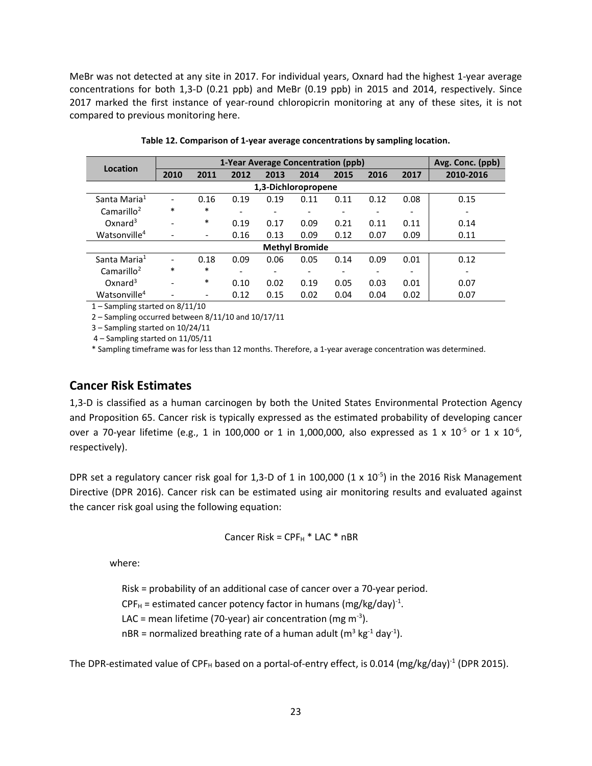MeBr was not detected at any site in 2017. For individual years, Oxnard had the highest 1-year average concentrations for both 1,3-D (0.21 ppb) and MeBr (0.19 ppb) in 2015 and 2014, respectively. Since 2017 marked the first instance of year-round chloropicrin monitoring at any of these sites, it is not compared to previous monitoring here.

<span id="page-22-0"></span>

| Location                 |                              | Avg. Conc. (ppb)         |      |                          |                       |      |      |                          |           |
|--------------------------|------------------------------|--------------------------|------|--------------------------|-----------------------|------|------|--------------------------|-----------|
|                          | 2010                         | 2011                     | 2012 | 2013                     | 2014                  | 2015 | 2016 | 2017                     | 2010-2016 |
| 1,3-Dichloropropene      |                              |                          |      |                          |                       |      |      |                          |           |
| Santa Maria <sup>1</sup> | $\overline{\phantom{0}}$     | 0.16                     | 0.19 | 0.19                     | 0.11                  | 0.11 | 0.12 | 0.08                     | 0.15      |
| Camarillo <sup>2</sup>   | $\ast$                       | $\ast$                   |      | $\overline{\phantom{0}}$ |                       |      |      |                          |           |
| $Ox$ nard <sup>3</sup>   | $\overline{\phantom{0}}$     | $\ast$                   | 0.19 | 0.17                     | 0.09                  | 0.21 | 0.11 | 0.11                     | 0.14      |
| Watsonville <sup>4</sup> |                              | $\overline{\phantom{0}}$ | 0.16 | 0.13                     | 0.09                  | 0.12 | 0.07 | 0.09                     | 0.11      |
|                          |                              |                          |      |                          | <b>Methyl Bromide</b> |      |      |                          |           |
| Santa Maria <sup>1</sup> | $\qquad \qquad \blacksquare$ | 0.18                     | 0.09 | 0.06                     | 0.05                  | 0.14 | 0.09 | 0.01                     | 0.12      |
| Camarillo <sup>2</sup>   | $\ast$                       | $\ast$                   |      | $\overline{\phantom{0}}$ |                       |      |      | $\overline{\phantom{0}}$ |           |
| $Ox$ nard <sup>3</sup>   | -                            | $\ast$                   | 0.10 | 0.02                     | 0.19                  | 0.05 | 0.03 | 0.01                     | 0.07      |
| Watsonville <sup>4</sup> |                              |                          | 0.12 | 0.15                     | 0.02                  | 0.04 | 0.04 | 0.02                     | 0.07      |

**Table 12. Comparison of 1-year average concentrations by sampling location.**

1 – Sampling started on 8/11/10

2 – Sampling occurred between 8/11/10 and 10/17/11

3 – Sampling started on 10/24/11

4 – Sampling started on 11/05/11

\* Sampling timeframe was for less than 12 months. Therefore, a 1-year average concentration was determined.

## **Cancer Risk Estimates**

1,3-D is classified as a human carcinogen by both the United States Environmental Protection Agency and Proposition 65. Cancer risk is typically expressed as the estimated probability of developing cancer over a 70-year lifetime (e.g., 1 in 100,000 or 1 in 1,000,000, also expressed as 1 x 10<sup>-5</sup> or 1 x 10<sup>-6</sup>, respectively).

DPR set a regulatory cancer risk goal for 1,3-D of 1 in 100,000  $(1 \times 10^{-5})$  in the 2016 Risk Management Directive (DPR 2016). Cancer risk can be estimated using air monitoring results and evaluated against the cancer risk goal using the following equation:

Cancer Risk =  $\text{CPF}_{\text{H}}$  \* LAC \* nBR

where:

Risk = probability of an additional case of cancer over a 70-year period.  $\text{CPF}_{\text{H}}$  = estimated cancer potency factor in humans (mg/kg/day)<sup>-1</sup>. LAC = mean lifetime (70-year) air concentration (mg m<sup>-3</sup>). nBR = normalized breathing rate of a human adult (m<sup>3</sup> kg<sup>-1</sup> day<sup>-1</sup>).

The DPR-estimated value of CPF<sub>H</sub> based on a portal-of-entry effect, is 0.014 (mg/kg/day)<sup>-1</sup> (DPR 2015).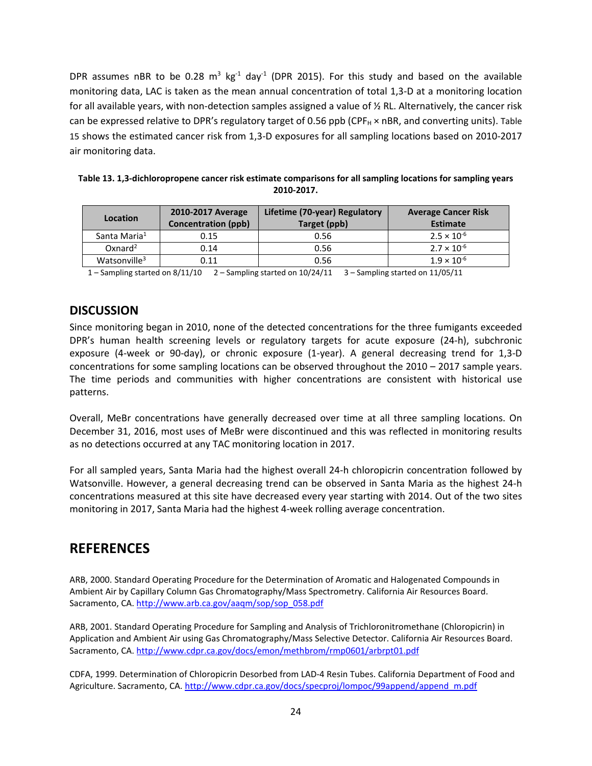DPR assumes nBR to be 0.28  $m^3$  kg<sup>-1</sup> day<sup>-1</sup> (DPR 2015). For this study and based on the available monitoring data, LAC is taken as the mean annual concentration of total 1,3-D at a monitoring location for all available years, with non-detection samples assigned a value of ½ RL. Alternatively, the cancer risk can be expressed relative to DPR's regulatory target of 0.56 ppb (CPF $_H \times nBR$ , and converting units). Table [15](#page-23-0) shows the estimated cancer risk from 1,3-D exposures for all sampling locations based on 2010-2017 air monitoring data.

| Location                 | <b>2010-2017 Average</b><br><b>Concentration (ppb)</b> | Lifetime (70-year) Regulatory<br>Target (ppb) | <b>Average Cancer Risk</b><br><b>Estimate</b> |
|--------------------------|--------------------------------------------------------|-----------------------------------------------|-----------------------------------------------|
| Santa Maria <sup>1</sup> | 0.15                                                   | 0.56                                          | $2.5 \times 10^{-6}$                          |
| $Ox$ nard <sup>2</sup>   | 0.14                                                   | 0.56                                          | $2.7 \times 10^{-6}$                          |

<span id="page-23-0"></span>**Table 13. 1,3-dichloropropene cancer risk estimate comparisons for all sampling locations for sampling years 2010-2017.**

Watsonville<sup>3</sup> 1.9 × 10<sup>-6</sup> 1.9 × 10<sup>-6</sup> 1.9 × 10<sup>-6</sup> 1 – Sampling started on 8/11/10 2 – Sampling started on 10/24/11 3 – Sampling started on 11/05/11

## **DISCUSSION**

Since monitoring began in 2010, none of the detected concentrations for the three fumigants exceeded DPR's human health screening levels or regulatory targets for acute exposure (24-h), subchronic exposure (4-week or 90-day), or chronic exposure (1-year). A general decreasing trend for 1,3-D concentrations for some sampling locations can be observed throughout the 2010 – 2017 sample years. The time periods and communities with higher concentrations are consistent with historical use patterns.

Overall, MeBr concentrations have generally decreased over time at all three sampling locations. On December 31, 2016, most uses of MeBr were discontinued and this was reflected in monitoring results as no detections occurred at any TAC monitoring location in 2017.

For all sampled years, Santa Maria had the highest overall 24-h chloropicrin concentration followed by Watsonville. However, a general decreasing trend can be observed in Santa Maria as the highest 24-h concentrations measured at this site have decreased every year starting with 2014. Out of the two sites monitoring in 2017, Santa Maria had the highest 4-week rolling average concentration.

## **REFERENCES**

ARB, 2000. Standard Operating Procedure for the Determination of Aromatic and Halogenated Compounds in Ambient Air by Capillary Column Gas Chromatography/Mass Spectrometry. California Air Resources Board. Sacramento, CA. [http://www.arb.ca.gov/aaqm/sop/sop\\_058.pdf](http://www.arb.ca.gov/aaqm/sop/sop_058.pdf)

ARB, 2001. Standard Operating Procedure for Sampling and Analysis of Trichloronitromethane (Chloropicrin) in Application and Ambient Air using Gas Chromatography/Mass Selective Detector. California Air Resources Board. Sacramento, CA.<http://www.cdpr.ca.gov/docs/emon/methbrom/rmp0601/arbrpt01.pdf>

CDFA, 1999. Determination of Chloropicrin Desorbed from LAD-4 Resin Tubes. California Department of Food and Agriculture. Sacramento, CA. [http://www.cdpr.ca.gov/docs/specproj/lompoc/99append/append\\_m.pdf](http://www.cdpr.ca.gov/docs/specproj/lompoc/99append/append_m.pdf)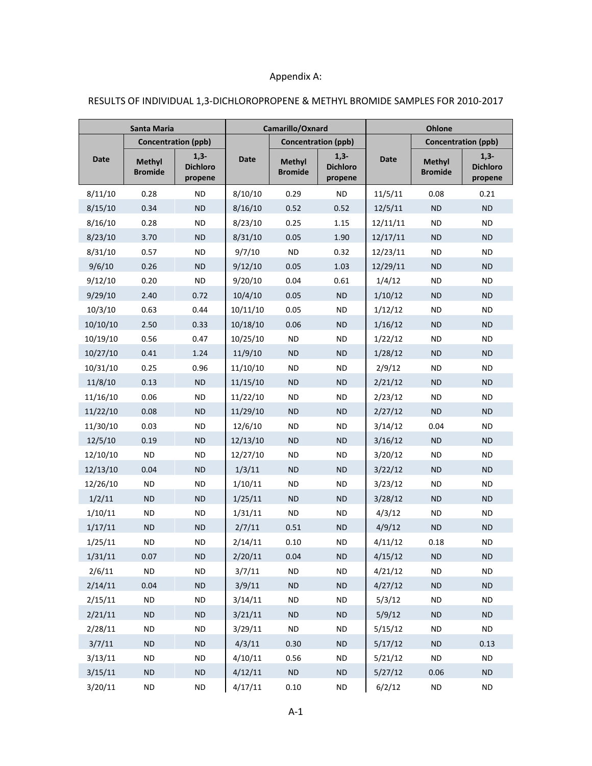## Appendix A:

| Santa Maria |                                 |                                      | Camarillo/Oxnard |                                 |                                      | <b>Ohlone</b> |                                 |                                      |
|-------------|---------------------------------|--------------------------------------|------------------|---------------------------------|--------------------------------------|---------------|---------------------------------|--------------------------------------|
|             |                                 | <b>Concentration (ppb)</b>           |                  |                                 | <b>Concentration (ppb)</b>           |               |                                 | <b>Concentration (ppb)</b>           |
| Date        | <b>Methyl</b><br><b>Bromide</b> | $1,3-$<br><b>Dichloro</b><br>propene | <b>Date</b>      | <b>Methyl</b><br><b>Bromide</b> | $1,3-$<br><b>Dichloro</b><br>propene | <b>Date</b>   | <b>Methyl</b><br><b>Bromide</b> | $1,3-$<br><b>Dichloro</b><br>propene |
| 8/11/10     | 0.28                            | <b>ND</b>                            | 8/10/10          | 0.29                            | <b>ND</b>                            | 11/5/11       | 0.08                            | 0.21                                 |
| 8/15/10     | 0.34                            | <b>ND</b>                            | 8/16/10          | 0.52                            | 0.52                                 | 12/5/11       | <b>ND</b>                       | <b>ND</b>                            |
| 8/16/10     | 0.28                            | <b>ND</b>                            | 8/23/10          | 0.25                            | 1.15                                 | 12/11/11      | <b>ND</b>                       | <b>ND</b>                            |
| 8/23/10     | 3.70                            | <b>ND</b>                            | 8/31/10          | 0.05                            | 1.90                                 | 12/17/11      | ND.                             | <b>ND</b>                            |
| 8/31/10     | 0.57                            | <b>ND</b>                            | 9/7/10           | <b>ND</b>                       | 0.32                                 | 12/23/11      | ND.                             | <b>ND</b>                            |
| 9/6/10      | 0.26                            | <b>ND</b>                            | 9/12/10          | 0.05                            | 1.03                                 | 12/29/11      | ND.                             | <b>ND</b>                            |
| 9/12/10     | 0.20                            | <b>ND</b>                            | 9/20/10          | 0.04                            | 0.61                                 | 1/4/12        | ND.                             | ND.                                  |
| 9/29/10     | 2.40                            | 0.72                                 | 10/4/10          | 0.05                            | <b>ND</b>                            | 1/10/12       | ND.                             | <b>ND</b>                            |
| 10/3/10     | 0.63                            | 0.44                                 | 10/11/10         | 0.05                            | ND.                                  | 1/12/12       | ND.                             | <b>ND</b>                            |
| 10/10/10    | 2.50                            | 0.33                                 | 10/18/10         | 0.06                            | <b>ND</b>                            | 1/16/12       | ND.                             | <b>ND</b>                            |
| 10/19/10    | 0.56                            | 0.47                                 | 10/25/10         | <b>ND</b>                       | <b>ND</b>                            | 1/22/12       | ND.                             | ND.                                  |
| 10/27/10    | 0.41                            | 1.24                                 | 11/9/10          | ND                              | <b>ND</b>                            | 1/28/12       | ND.                             | <b>ND</b>                            |
| 10/31/10    | 0.25                            | 0.96                                 | 11/10/10         | ND.                             | <b>ND</b>                            | 2/9/12        | ND.                             | <b>ND</b>                            |
| 11/8/10     | 0.13                            | <b>ND</b>                            | 11/15/10         | <b>ND</b>                       | <b>ND</b>                            | 2/21/12       | ND.                             | <b>ND</b>                            |
| 11/16/10    | 0.06                            | <b>ND</b>                            | 11/22/10         | <b>ND</b>                       | <b>ND</b>                            | 2/23/12       | ND.                             | ND.                                  |
| 11/22/10    | 0.08                            | <b>ND</b>                            | 11/29/10         | <b>ND</b>                       | <b>ND</b>                            | 2/27/12       | ND.                             | <b>ND</b>                            |
| 11/30/10    | 0.03                            | ND                                   | 12/6/10          | ND.                             | ND.                                  | 3/14/12       | 0.04                            | <b>ND</b>                            |
| 12/5/10     | 0.19                            | <b>ND</b>                            | 12/13/10         | <b>ND</b>                       | <b>ND</b>                            | 3/16/12       | ND.                             | <b>ND</b>                            |
| 12/10/10    | <b>ND</b>                       | <b>ND</b>                            | 12/27/10         | <b>ND</b>                       | $\sf ND$                             | 3/20/12       | <b>ND</b>                       | ND.                                  |
| 12/13/10    | 0.04                            | <b>ND</b>                            | 1/3/11           | <b>ND</b>                       | <b>ND</b>                            | 3/22/12       | ND.                             | <b>ND</b>                            |
| 12/26/10    | ND                              | ND                                   | 1/10/11          | ND.                             | ND.                                  | 3/23/12       | ND.                             | ND.                                  |
| 1/2/11      | <b>ND</b>                       | <b>ND</b>                            | 1/25/11          | <b>ND</b>                       | <b>ND</b>                            | 3/28/12       | ND.                             | <b>ND</b>                            |
| 1/10/11     | ND                              | <b>ND</b>                            | 1/31/11          | <b>ND</b>                       | <b>ND</b>                            | 4/3/12        | ND.                             | ND.                                  |
| 1/17/11     | <b>ND</b>                       | <b>ND</b>                            | 2/7/11           | 0.51                            | <b>ND</b>                            | 4/9/12        | <b>ND</b>                       | <b>ND</b>                            |
| 1/25/11     | ND                              | <b>ND</b>                            | 2/14/11          | 0.10                            | <b>ND</b>                            | 4/11/12       | 0.18                            | ND                                   |
| 1/31/11     | 0.07                            | ND.                                  | 2/20/11          | 0.04                            | <b>ND</b>                            | 4/15/12       | <b>ND</b>                       | ND.                                  |
| 2/6/11      | <b>ND</b>                       | <b>ND</b>                            | 3/7/11           | ND.                             | <b>ND</b>                            | 4/21/12       | ND.                             | ND.                                  |
| 2/14/11     | 0.04                            | $\sf ND$                             | 3/9/11           | ND                              | <b>ND</b>                            | 4/27/12       | ND.                             | ND.                                  |
| 2/15/11     | <b>ND</b>                       | <b>ND</b>                            | 3/14/11          | <b>ND</b>                       | <b>ND</b>                            | 5/3/12        | <b>ND</b>                       | ND.                                  |
| 2/21/11     | <b>ND</b>                       | <b>ND</b>                            | 3/21/11          | <b>ND</b>                       | <b>ND</b>                            | 5/9/12        | ND.                             | ND.                                  |
| 2/28/11     | <b>ND</b>                       | <b>ND</b>                            | 3/29/11          | <b>ND</b>                       | <b>ND</b>                            | 5/15/12       | <b>ND</b>                       | <b>ND</b>                            |
| 3/7/11      | <b>ND</b>                       | <b>ND</b>                            | 4/3/11           | 0.30                            | <b>ND</b>                            | 5/17/12       | <b>ND</b>                       | 0.13                                 |
| 3/13/11     | <b>ND</b>                       | <b>ND</b>                            | 4/10/11          | 0.56                            | <b>ND</b>                            | 5/21/12       | <b>ND</b>                       | <b>ND</b>                            |
| 3/15/11     | <b>ND</b>                       | <b>ND</b>                            | 4/12/11          | <b>ND</b>                       | <b>ND</b>                            | 5/27/12       | 0.06                            | <b>ND</b>                            |
| 3/20/11     | <b>ND</b>                       | <b>ND</b>                            | 4/17/11          | 0.10                            | ND                                   | 6/2/12        | <b>ND</b>                       | <b>ND</b>                            |

### RESULTS OF INDIVIDUAL 1,3-DICHLOROPROPENE & METHYL BROMIDE SAMPLES FOR 2010-2017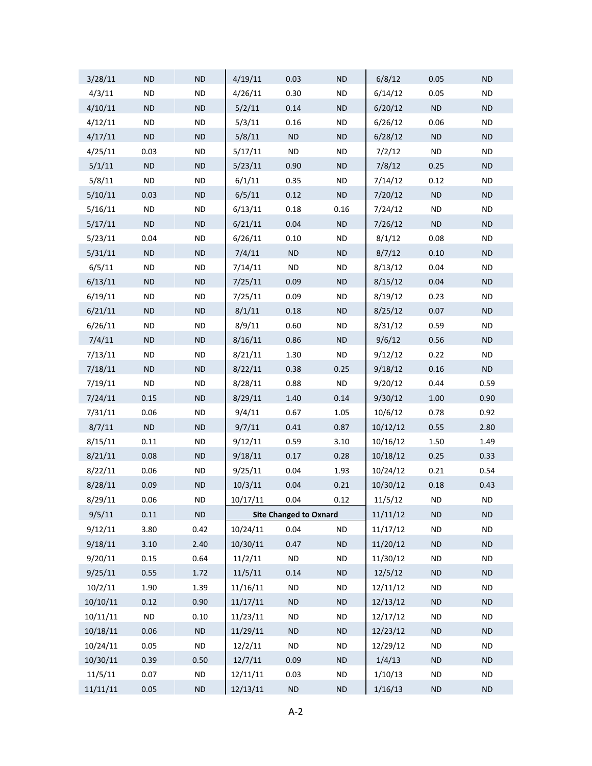| 3/28/11  | <b>ND</b> | $\sf ND$  | 4/19/11  | 0.03                          | ${\sf ND}$ | 6/8/12   | 0.05      | <b>ND</b>  |
|----------|-----------|-----------|----------|-------------------------------|------------|----------|-----------|------------|
| 4/3/11   | <b>ND</b> | <b>ND</b> | 4/26/11  | 0.30                          | <b>ND</b>  | 6/14/12  | 0.05      | <b>ND</b>  |
| 4/10/11  | <b>ND</b> | $\sf ND$  | 5/2/11   | 0.14                          | ND         | 6/20/12  | ND        | ND         |
| 4/12/11  | <b>ND</b> | <b>ND</b> | 5/3/11   | 0.16                          | <b>ND</b>  | 6/26/12  | 0.06      | <b>ND</b>  |
| 4/17/11  | <b>ND</b> | $\sf ND$  | 5/8/11   | ND                            | ND         | 6/28/12  | $\sf ND$  | ${\sf ND}$ |
| 4/25/11  | 0.03      | <b>ND</b> | 5/17/11  | <b>ND</b>                     | <b>ND</b>  | 7/2/12   | <b>ND</b> | <b>ND</b>  |
| 5/1/11   | ND        | $\sf ND$  | 5/23/11  | 0.90                          | ND         | 7/8/12   | 0.25      | <b>ND</b>  |
| 5/8/11   | <b>ND</b> | <b>ND</b> | 6/1/11   | 0.35                          | <b>ND</b>  | 7/14/12  | 0.12      | <b>ND</b>  |
| 5/10/11  | 0.03      | $\sf ND$  | 6/5/11   | 0.12                          | ND         | 7/20/12  | $\sf ND$  | ${\sf ND}$ |
| 5/16/11  | <b>ND</b> | <b>ND</b> | 6/13/11  | 0.18                          | 0.16       | 7/24/12  | <b>ND</b> | <b>ND</b>  |
| 5/17/11  | <b>ND</b> | $\sf ND$  | 6/21/11  | 0.04                          | ND         | 7/26/12  | ND        | <b>ND</b>  |
| 5/23/11  | 0.04      | <b>ND</b> | 6/26/11  | 0.10                          | <b>ND</b>  | 8/1/12   | 0.08      | <b>ND</b>  |
| 5/31/11  | <b>ND</b> | $\sf ND$  | 7/4/11   | ND                            | ND         | 8/7/12   | 0.10      | ${\sf ND}$ |
| 6/5/11   | <b>ND</b> | <b>ND</b> | 7/14/11  | <b>ND</b>                     | <b>ND</b>  | 8/13/12  | 0.04      | <b>ND</b>  |
| 6/13/11  | <b>ND</b> | $\sf ND$  | 7/25/11  | 0.09                          | ND         | 8/15/12  | 0.04      | <b>ND</b>  |
| 6/19/11  | <b>ND</b> | <b>ND</b> | 7/25/11  | 0.09                          | <b>ND</b>  | 8/19/12  | 0.23      | <b>ND</b>  |
| 6/21/11  | <b>ND</b> | $\sf ND$  | 8/1/11   | 0.18                          | ND         | 8/25/12  | 0.07      | ${\sf ND}$ |
| 6/26/11  | <b>ND</b> | <b>ND</b> | 8/9/11   | 0.60                          | <b>ND</b>  | 8/31/12  | 0.59      | <b>ND</b>  |
| 7/4/11   | <b>ND</b> | $\sf ND$  | 8/16/11  | 0.86                          | ND         | 9/6/12   | 0.56      | <b>ND</b>  |
| 7/13/11  | <b>ND</b> | <b>ND</b> | 8/21/11  | 1.30                          | <b>ND</b>  | 9/12/12  | 0.22      | <b>ND</b>  |
| 7/18/11  | <b>ND</b> | $\sf ND$  | 8/22/11  | 0.38                          | 0.25       | 9/18/12  | 0.16      | ND         |
| 7/19/11  | <b>ND</b> | <b>ND</b> | 8/28/11  | 0.88                          | <b>ND</b>  | 9/20/12  | 0.44      | 0.59       |
| 7/24/11  | 0.15      | $\sf ND$  | 8/29/11  | 1.40                          | 0.14       | 9/30/12  | 1.00      | 0.90       |
| 7/31/11  | 0.06      | <b>ND</b> | 9/4/11   | 0.67                          | 1.05       | 10/6/12  | 0.78      | 0.92       |
| 8/7/11   | ND        | $\sf ND$  | 9/7/11   | 0.41                          | 0.87       | 10/12/12 | 0.55      | 2.80       |
| 8/15/11  | 0.11      | <b>ND</b> | 9/12/11  | 0.59                          | 3.10       | 10/16/12 | 1.50      | 1.49       |
| 8/21/11  | 0.08      | $\sf ND$  | 9/18/11  | 0.17                          | 0.28       | 10/18/12 | 0.25      | 0.33       |
| 8/22/11  | 0.06      | $\sf ND$  | 9/25/11  | 0.04                          | 1.93       | 10/24/12 | 0.21      | 0.54       |
| 8/28/11  | 0.09      | $\sf ND$  | 10/3/11  | 0.04                          | 0.21       | 10/30/12 | 0.18      | 0.43       |
| 8/29/11  | 0.06      | <b>ND</b> | 10/17/11 | 0.04                          | 0.12       | 11/5/12  | <b>ND</b> | <b>ND</b>  |
| 9/5/11   | 0.11      | ND        |          | <b>Site Changed to Oxnard</b> |            | 11/11/12 | <b>ND</b> | <b>ND</b>  |
| 9/12/11  | 3.80      | 0.42      | 10/24/11 | 0.04                          | <b>ND</b>  | 11/17/12 | <b>ND</b> | <b>ND</b>  |
| 9/18/11  | 3.10      | 2.40      | 10/30/11 | 0.47                          | ND         | 11/20/12 | ND        | <b>ND</b>  |
| 9/20/11  | 0.15      | 0.64      | 11/2/11  | <b>ND</b>                     | <b>ND</b>  | 11/30/12 | <b>ND</b> | <b>ND</b>  |
| 9/25/11  | 0.55      | 1.72      | 11/5/11  | 0.14                          | ND         | 12/5/12  | $\sf ND$  | <b>ND</b>  |
| 10/2/11  | 1.90      | 1.39      | 11/16/11 | <b>ND</b>                     | <b>ND</b>  | 12/11/12 | <b>ND</b> | <b>ND</b>  |
| 10/10/11 | 0.12      | 0.90      | 11/17/11 | ND                            | ND         | 12/13/12 | ND        | <b>ND</b>  |
| 10/11/11 | $\sf ND$  | 0.10      | 11/23/11 | <b>ND</b>                     | <b>ND</b>  | 12/17/12 | <b>ND</b> | <b>ND</b>  |
| 10/18/11 | 0.06      | $\sf ND$  | 11/29/11 | ND                            | ND         | 12/23/12 | $\sf ND$  | <b>ND</b>  |
| 10/24/11 | 0.05      | <b>ND</b> | 12/2/11  | <b>ND</b>                     | <b>ND</b>  | 12/29/12 | <b>ND</b> | <b>ND</b>  |
| 10/30/11 | 0.39      | 0.50      | 12/7/11  | 0.09                          | ND         | 1/4/13   | ND        | <b>ND</b>  |
| 11/5/11  | 0.07      | <b>ND</b> | 12/11/11 | 0.03                          | <b>ND</b>  | 1/10/13  | <b>ND</b> | <b>ND</b>  |
| 11/11/11 | 0.05      | $\sf ND$  | 12/13/11 | $\sf ND$                      | $\sf ND$   | 1/16/13  | $\sf ND$  | ND         |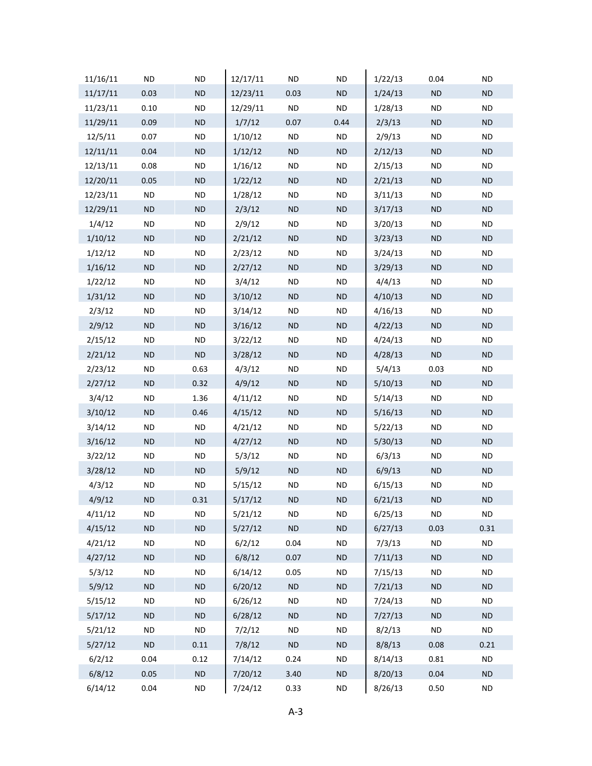| 11/16/11 | ND        | <b>ND</b> | 12/17/11 | ND        | <b>ND</b>  | 1/22/13 | 0.04      | ND        |
|----------|-----------|-----------|----------|-----------|------------|---------|-----------|-----------|
| 11/17/11 | 0.03      | <b>ND</b> | 12/23/11 | 0.03      | <b>ND</b>  | 1/24/13 | ND        | <b>ND</b> |
| 11/23/11 | 0.10      | <b>ND</b> | 12/29/11 | <b>ND</b> | <b>ND</b>  | 1/28/13 | <b>ND</b> | ND        |
| 11/29/11 | 0.09      | $\sf ND$  | 1/7/12   | 0.07      | 0.44       | 2/3/13  | <b>ND</b> | <b>ND</b> |
| 12/5/11  | 0.07      | <b>ND</b> | 1/10/12  | ND.       | ND.        | 2/9/13  | ND        | ND.       |
| 12/11/11 | 0.04      | <b>ND</b> | 1/12/12  | <b>ND</b> | <b>ND</b>  | 2/12/13 | <b>ND</b> | <b>ND</b> |
| 12/13/11 | 0.08      | <b>ND</b> | 1/16/12  | <b>ND</b> | <b>ND</b>  | 2/15/13 | ND        | ND        |
| 12/20/11 | 0.05      | $\sf ND$  | 1/22/12  | <b>ND</b> | <b>ND</b>  | 2/21/13 | <b>ND</b> | <b>ND</b> |
| 12/23/11 | ND        | <b>ND</b> | 1/28/12  | ND        | ND.        | 3/11/13 | ND        | ND.       |
| 12/29/11 | <b>ND</b> | <b>ND</b> | 2/3/12   | <b>ND</b> | <b>ND</b>  | 3/17/13 | <b>ND</b> | <b>ND</b> |
| 1/4/12   | <b>ND</b> | <b>ND</b> | 2/9/12   | <b>ND</b> | <b>ND</b>  | 3/20/13 | ND        | ND        |
| 1/10/12  | <b>ND</b> | $\sf ND$  | 2/21/12  | <b>ND</b> | <b>ND</b>  | 3/23/13 | <b>ND</b> | <b>ND</b> |
| 1/12/12  | ND        | <b>ND</b> | 2/23/12  | ND        | ND.        | 3/24/13 | ND        | ND.       |
| 1/16/12  | <b>ND</b> | <b>ND</b> | 2/27/12  | <b>ND</b> | <b>ND</b>  | 3/29/13 | <b>ND</b> | <b>ND</b> |
| 1/22/12  | <b>ND</b> | <b>ND</b> | 3/4/12   | <b>ND</b> | <b>ND</b>  | 4/4/13  | <b>ND</b> | ND        |
| 1/31/12  | <b>ND</b> | ND        | 3/10/12  | <b>ND</b> | <b>ND</b>  | 4/10/13 | <b>ND</b> | <b>ND</b> |
| 2/3/12   | ND        | <b>ND</b> | 3/14/12  | ND.       | ND.        | 4/16/13 | ND        | ND.       |
| 2/9/12   | <b>ND</b> | <b>ND</b> | 3/16/12  | <b>ND</b> | <b>ND</b>  | 4/22/13 | <b>ND</b> | <b>ND</b> |
| 2/15/12  | <b>ND</b> | <b>ND</b> | 3/22/12  | <b>ND</b> | <b>ND</b>  | 4/24/13 | ND        | ND        |
| 2/21/12  | <b>ND</b> | <b>ND</b> | 3/28/12  | <b>ND</b> | <b>ND</b>  | 4/28/13 | <b>ND</b> | <b>ND</b> |
| 2/23/12  | ND        | 0.63      | 4/3/12   | ND        | <b>ND</b>  | 5/4/13  | 0.03      | ND.       |
| 2/27/12  | <b>ND</b> | 0.32      | 4/9/12   | ND.       | <b>ND</b>  | 5/10/13 | <b>ND</b> | <b>ND</b> |
| 3/4/12   | <b>ND</b> | 1.36      | 4/11/12  | <b>ND</b> | <b>ND</b>  | 5/14/13 | <b>ND</b> | ND        |
| 3/10/12  | <b>ND</b> | 0.46      | 4/15/12  | ND        | <b>ND</b>  | 5/16/13 | <b>ND</b> | <b>ND</b> |
| 3/14/12  | ND        | <b>ND</b> | 4/21/12  | ND        | ND.        | 5/22/13 | ND        | ND        |
| 3/16/12  | <b>ND</b> | <b>ND</b> | 4/27/12  | ND.       | <b>ND</b>  | 5/30/13 | <b>ND</b> | <b>ND</b> |
| 3/22/12  | <b>ND</b> | <b>ND</b> | 5/3/12   | ND        | <b>ND</b>  | 6/3/13  | <b>ND</b> | <b>ND</b> |
| 3/28/12  | <b>ND</b> | <b>ND</b> | 5/9/12   | ND        | ND         | 6/9/13  | <b>ND</b> | <b>ND</b> |
| 4/3/12   | ND        | <b>ND</b> | 5/15/12  | ND        | ND.        | 6/15/13 | ND        | ND        |
| 4/9/12   | <b>ND</b> | 0.31      | 5/17/12  | <b>ND</b> | ${\sf ND}$ | 6/21/13 | <b>ND</b> | <b>ND</b> |
| 4/11/12  | ND        | <b>ND</b> | 5/21/12  | ND        | <b>ND</b>  | 6/25/13 | <b>ND</b> | <b>ND</b> |
| 4/15/12  | <b>ND</b> | ND        | 5/27/12  | ND        | ND         | 6/27/13 | 0.03      | 0.31      |
| 4/21/12  | <b>ND</b> | <b>ND</b> | 6/2/12   | 0.04      | <b>ND</b>  | 7/3/13  | <b>ND</b> | <b>ND</b> |
| 4/27/12  | <b>ND</b> | <b>ND</b> | 6/8/12   | 0.07      | <b>ND</b>  | 7/11/13 | <b>ND</b> | <b>ND</b> |
| 5/3/12   | ND.       | <b>ND</b> | 6/14/12  | 0.05      | <b>ND</b>  | 7/15/13 | <b>ND</b> | ND.       |
| 5/9/12   | <b>ND</b> | <b>ND</b> | 6/20/12  | ND        | <b>ND</b>  | 7/21/13 | <b>ND</b> | <b>ND</b> |
| 5/15/12  | <b>ND</b> | <b>ND</b> | 6/26/12  | <b>ND</b> | <b>ND</b>  | 7/24/13 | <b>ND</b> | <b>ND</b> |
| 5/17/12  | <b>ND</b> | <b>ND</b> | 6/28/12  | <b>ND</b> | <b>ND</b>  | 7/27/13 | <b>ND</b> | <b>ND</b> |
| 5/21/12  | ND.       | <b>ND</b> | 7/2/12   | ND        | ND.        | 8/2/13  | <b>ND</b> | <b>ND</b> |
| 5/27/12  | <b>ND</b> | 0.11      | 7/8/12   | <b>ND</b> | <b>ND</b>  | 8/8/13  | 0.08      | 0.21      |
| 6/2/12   | 0.04      | 0.12      | 7/14/12  | 0.24      | <b>ND</b>  | 8/14/13 | 0.81      | <b>ND</b> |
| 6/8/12   | 0.05      | ND        | 7/20/12  | 3.40      | <b>ND</b>  | 8/20/13 | 0.04      | <b>ND</b> |
| 6/14/12  | 0.04      | <b>ND</b> | 7/24/12  | 0.33      | ND.        | 8/26/13 | 0.50      | <b>ND</b> |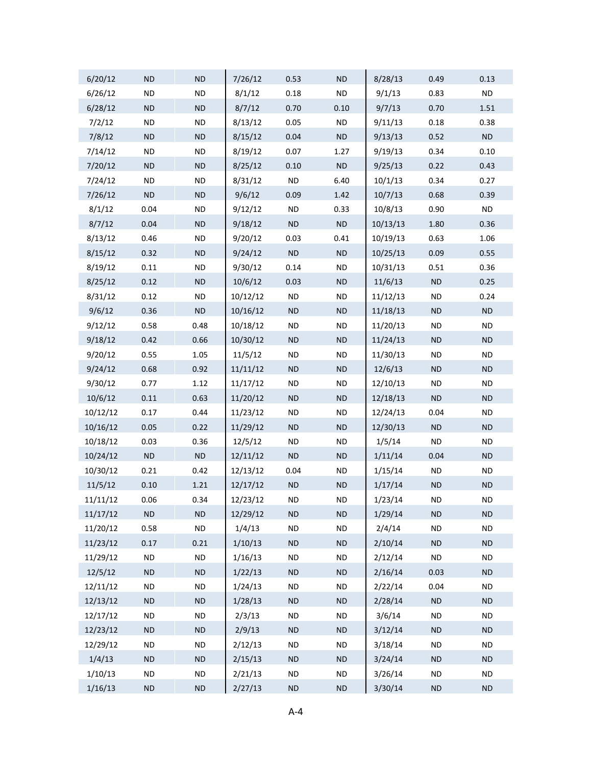| 6/20/12  | <b>ND</b> | <b>ND</b> | 7/26/12  | 0.53      | <b>ND</b>  | 8/28/13  | 0.49      | 0.13       |
|----------|-----------|-----------|----------|-----------|------------|----------|-----------|------------|
| 6/26/12  | <b>ND</b> | <b>ND</b> | 8/1/12   | 0.18      | <b>ND</b>  | 9/1/13   | 0.83      | <b>ND</b>  |
| 6/28/12  | <b>ND</b> | ND        | 8/7/12   | 0.70      | 0.10       | 9/7/13   | 0.70      | 1.51       |
| 7/2/12   | <b>ND</b> | <b>ND</b> | 8/13/12  | 0.05      | <b>ND</b>  | 9/11/13  | 0.18      | 0.38       |
| 7/8/12   | <b>ND</b> | ND        | 8/15/12  | 0.04      | $\sf ND$   | 9/13/13  | 0.52      | $\sf ND$   |
| 7/14/12  | <b>ND</b> | <b>ND</b> | 8/19/12  | 0.07      | 1.27       | 9/19/13  | 0.34      | 0.10       |
| 7/20/12  | <b>ND</b> | ND        | 8/25/12  | 0.10      | ND         | 9/25/13  | 0.22      | 0.43       |
| 7/24/12  | <b>ND</b> | <b>ND</b> | 8/31/12  | <b>ND</b> | 6.40       | 10/1/13  | 0.34      | 0.27       |
| 7/26/12  | <b>ND</b> | ND        | 9/6/12   | 0.09      | 1.42       | 10/7/13  | 0.68      | 0.39       |
| 8/1/12   | 0.04      | <b>ND</b> | 9/12/12  | <b>ND</b> | 0.33       | 10/8/13  | 0.90      | <b>ND</b>  |
| 8/7/12   | 0.04      | ND        | 9/18/12  | <b>ND</b> | ND         | 10/13/13 | 1.80      | 0.36       |
| 8/13/12  | 0.46      | <b>ND</b> | 9/20/12  | 0.03      | 0.41       | 10/19/13 | 0.63      | 1.06       |
| 8/15/12  | 0.32      | ND        | 9/24/12  | ND        | $\sf ND$   | 10/25/13 | 0.09      | 0.55       |
| 8/19/12  | 0.11      | <b>ND</b> | 9/30/12  | 0.14      | <b>ND</b>  | 10/31/13 | 0.51      | 0.36       |
| 8/25/12  | 0.12      | ND        | 10/6/12  | 0.03      | <b>ND</b>  | 11/6/13  | $\sf ND$  | 0.25       |
| 8/31/12  | 0.12      | <b>ND</b> | 10/12/12 | <b>ND</b> | <b>ND</b>  | 11/12/13 | <b>ND</b> | 0.24       |
| 9/6/12   | 0.36      | ND        | 10/16/12 | <b>ND</b> | <b>ND</b>  | 11/18/13 | <b>ND</b> | ND         |
| 9/12/12  | 0.58      | 0.48      | 10/18/12 | <b>ND</b> | <b>ND</b>  | 11/20/13 | <b>ND</b> | <b>ND</b>  |
| 9/18/12  | 0.42      | 0.66      | 10/30/12 | ND        | <b>ND</b>  | 11/24/13 | <b>ND</b> | <b>ND</b>  |
| 9/20/12  | 0.55      | 1.05      | 11/5/12  | <b>ND</b> | <b>ND</b>  | 11/30/13 | <b>ND</b> | <b>ND</b>  |
| 9/24/12  | 0.68      | 0.92      | 11/11/12 | <b>ND</b> | <b>ND</b>  | 12/6/13  | <b>ND</b> | <b>ND</b>  |
| 9/30/12  | 0.77      | 1.12      | 11/17/12 | <b>ND</b> | <b>ND</b>  | 12/10/13 | <b>ND</b> | <b>ND</b>  |
| 10/6/12  | 0.11      | 0.63      | 11/20/12 | ND        | <b>ND</b>  | 12/18/13 | ND        | <b>ND</b>  |
| 10/12/12 | 0.17      | 0.44      | 11/23/12 | <b>ND</b> | <b>ND</b>  | 12/24/13 | 0.04      | <b>ND</b>  |
| 10/16/12 | 0.05      | 0.22      | 11/29/12 | ND        | <b>ND</b>  | 12/30/13 | ND        | <b>ND</b>  |
| 10/18/12 | 0.03      | 0.36      | 12/5/12  | <b>ND</b> | <b>ND</b>  | 1/5/14   | <b>ND</b> | <b>ND</b>  |
| 10/24/12 | ND        | ND        | 12/11/12 | <b>ND</b> | <b>ND</b>  | 1/11/14  | 0.04      | <b>ND</b>  |
| 10/30/12 | 0.21      | 0.42      | 12/13/12 | 0.04      | <b>ND</b>  | 1/15/14  | <b>ND</b> | <b>ND</b>  |
| 11/5/12  | 0.10      | 1.21      | 12/17/12 | ND        | ${\sf ND}$ | 1/17/14  | <b>ND</b> | ND         |
| 11/11/12 | 0.06      | 0.34      | 12/23/12 | <b>ND</b> | <b>ND</b>  | 1/23/14  | <b>ND</b> | <b>ND</b>  |
| 11/17/12 | <b>ND</b> | ND        | 12/29/12 | <b>ND</b> | <b>ND</b>  | 1/29/14  | <b>ND</b> | <b>ND</b>  |
| 11/20/12 | 0.58      | $\sf ND$  | 1/4/13   | <b>ND</b> | <b>ND</b>  | 2/4/14   | <b>ND</b> | <b>ND</b>  |
| 11/23/12 | 0.17      | 0.21      | 1/10/13  | ND        | $\sf ND$   | 2/10/14  | $\sf ND$  | <b>ND</b>  |
| 11/29/12 | <b>ND</b> | <b>ND</b> | 1/16/13  | <b>ND</b> | <b>ND</b>  | 2/12/14  | <b>ND</b> | <b>ND</b>  |
| 12/5/12  | <b>ND</b> | ND        | 1/22/13  | ND        | ND         | 2/16/14  | 0.03      | <b>ND</b>  |
| 12/11/12 | <b>ND</b> | <b>ND</b> | 1/24/13  | <b>ND</b> | <b>ND</b>  | 2/22/14  | 0.04      | <b>ND</b>  |
| 12/13/12 | <b>ND</b> | ND        | 1/28/13  | ND        | $\sf ND$   | 2/28/14  | ND        | <b>ND</b>  |
| 12/17/12 | <b>ND</b> | <b>ND</b> | 2/3/13   | <b>ND</b> | <b>ND</b>  | 3/6/14   | <b>ND</b> | <b>ND</b>  |
| 12/23/12 | <b>ND</b> | ND        | 2/9/13   | ND        | ND         | 3/12/14  | $\sf ND$  | <b>ND</b>  |
| 12/29/12 | <b>ND</b> | <b>ND</b> | 2/12/13  | <b>ND</b> | <b>ND</b>  | 3/18/14  | <b>ND</b> | <b>ND</b>  |
| 1/4/13   | <b>ND</b> | ND        | 2/15/13  | ND        | $\sf ND$   | 3/24/14  | $\sf ND$  | <b>ND</b>  |
| 1/10/13  | <b>ND</b> | <b>ND</b> | 2/21/13  | <b>ND</b> | <b>ND</b>  | 3/26/14  | <b>ND</b> | <b>ND</b>  |
| 1/16/13  | <b>ND</b> | $\sf ND$  | 2/27/13  | $\sf ND$  | $\sf ND$   | 3/30/14  | $\sf ND$  | ${\sf ND}$ |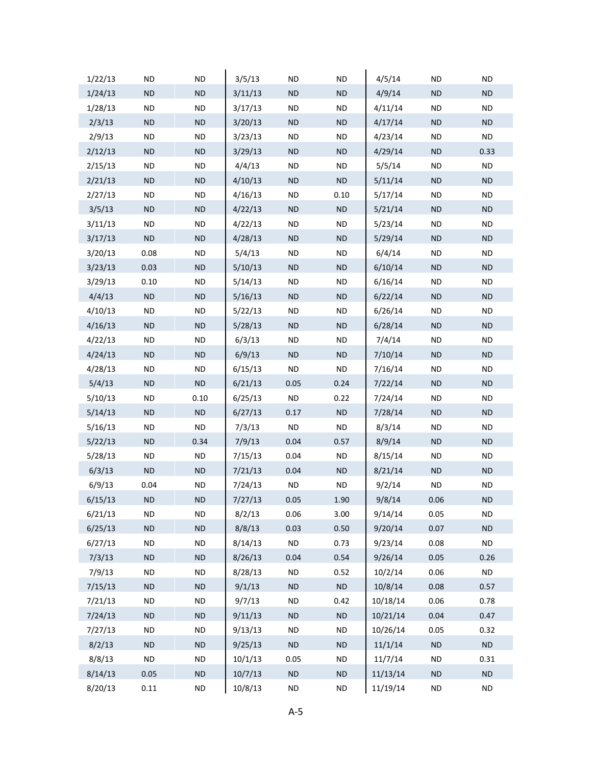| 1/22/13 | ND        | ND         | 3/5/13  | ND        | <b>ND</b>  | 4/5/14   | ND        | ND        |
|---------|-----------|------------|---------|-----------|------------|----------|-----------|-----------|
| 1/24/13 | <b>ND</b> | ND.        | 3/11/13 | <b>ND</b> | <b>ND</b>  | 4/9/14   | <b>ND</b> | <b>ND</b> |
| 1/28/13 | ND        | <b>ND</b>  | 3/17/13 | <b>ND</b> | <b>ND</b>  | 4/11/14  | ND.       | ND.       |
| 2/3/13  | <b>ND</b> | <b>ND</b>  | 3/20/13 | <b>ND</b> | <b>ND</b>  | 4/17/14  | <b>ND</b> | <b>ND</b> |
| 2/9/13  | ND        | <b>ND</b>  | 3/23/13 | ND        | ND.        | 4/23/14  | ND        | ND.       |
| 2/12/13 | <b>ND</b> | <b>ND</b>  | 3/29/13 | <b>ND</b> | <b>ND</b>  | 4/29/14  | <b>ND</b> | 0.33      |
| 2/15/13 | ND        | <b>ND</b>  | 4/4/13  | <b>ND</b> | <b>ND</b>  | 5/5/14   | ND.       | ND.       |
| 2/21/13 | <b>ND</b> | <b>ND</b>  | 4/10/13 | <b>ND</b> | <b>ND</b>  | 5/11/14  | ND.       | <b>ND</b> |
| 2/27/13 | ND        | ND         | 4/16/13 | ND        | 0.10       | 5/17/14  | ND        | ND        |
| 3/5/13  | <b>ND</b> | <b>ND</b>  | 4/22/13 | <b>ND</b> | <b>ND</b>  | 5/21/14  | <b>ND</b> | ND.       |
| 3/11/13 | ND        | <b>ND</b>  | 4/22/13 | <b>ND</b> | <b>ND</b>  | 5/23/14  | ND.       | ND        |
| 3/17/13 | <b>ND</b> | <b>ND</b>  | 4/28/13 | <b>ND</b> | <b>ND</b>  | 5/29/14  | ND.       | <b>ND</b> |
| 3/20/13 | 0.08      | ND         | 5/4/13  | ND        | ND         | 6/4/14   | ND        | ND        |
| 3/23/13 | 0.03      | <b>ND</b>  | 5/10/13 | <b>ND</b> | <b>ND</b>  | 6/10/14  | <b>ND</b> | ND.       |
| 3/29/13 | 0.10      | <b>ND</b>  | 5/14/13 | <b>ND</b> | <b>ND</b>  | 6/16/14  | ND.       | ND        |
| 4/4/13  | <b>ND</b> | ${\sf ND}$ | 5/16/13 | <b>ND</b> | <b>ND</b>  | 6/22/14  | <b>ND</b> | <b>ND</b> |
| 4/10/13 | <b>ND</b> | ND         | 5/22/13 | ND        | ND         | 6/26/14  | ND        | ND        |
| 4/16/13 | <b>ND</b> | <b>ND</b>  | 5/28/13 | <b>ND</b> | <b>ND</b>  | 6/28/14  | <b>ND</b> | ND.       |
| 4/22/13 | ND        | <b>ND</b>  | 6/3/13  | <b>ND</b> | <b>ND</b>  | 7/4/14   | ND.       | ND        |
| 4/24/13 | <b>ND</b> | ${\sf ND}$ | 6/9/13  | <b>ND</b> | <b>ND</b>  | 7/10/14  | ND.       | <b>ND</b> |
| 4/28/13 | ND        | ND         | 6/15/13 | ND        | ND.        | 7/16/14  | ND        | ND        |
| 5/4/13  | <b>ND</b> | <b>ND</b>  | 6/21/13 | 0.05      | 0.24       | 7/22/14  | <b>ND</b> | <b>ND</b> |
| 5/10/13 | ND        | 0.10       | 6/25/13 | <b>ND</b> | 0.22       | 7/24/14  | ND.       | ND        |
| 5/14/13 | <b>ND</b> | ND         | 6/27/13 | 0.17      | ${\sf ND}$ | 7/28/14  | ND.       | <b>ND</b> |
| 5/16/13 | ND        | <b>ND</b>  | 7/3/13  | ND.       | ND.        | 8/3/14   | ND        | ND        |
| 5/22/13 | <b>ND</b> | 0.34       | 7/9/13  | 0.04      | 0.57       | 8/9/14   | <b>ND</b> | <b>ND</b> |
| 5/28/13 | ND        | <b>ND</b>  | 7/15/13 | 0.04      | <b>ND</b>  | 8/15/14  | ND.       | ND.       |
| 6/3/13  | <b>ND</b> | ${\sf ND}$ | 7/21/13 | 0.04      | <b>ND</b>  | 8/21/14  | <b>ND</b> | <b>ND</b> |
| 6/9/13  | 0.04      | ND         | 7/24/13 | ND        | <b>ND</b>  | 9/2/14   | ND        | ND        |
| 6/15/13 | <b>ND</b> | <b>ND</b>  | 7/27/13 | 0.05      | 1.90       | 9/8/14   | 0.06      | ND.       |
| 6/21/13 | ND        | <b>ND</b>  | 8/2/13  | 0.06      | 3.00       | 9/14/14  | 0.05      | ND        |
| 6/25/13 | <b>ND</b> | ${\sf ND}$ | 8/8/13  | 0.03      | 0.50       | 9/20/14  | 0.07      | <b>ND</b> |
| 6/27/13 | <b>ND</b> | <b>ND</b>  | 8/14/13 | <b>ND</b> | 0.73       | 9/23/14  | 0.08      | <b>ND</b> |
| 7/3/13  | <b>ND</b> | <b>ND</b>  | 8/26/13 | 0.04      | 0.54       | 9/26/14  | 0.05      | 0.26      |
| 7/9/13  | ND        | <b>ND</b>  | 8/28/13 | <b>ND</b> | 0.52       | 10/2/14  | 0.06      | <b>ND</b> |
| 7/15/13 | <b>ND</b> | <b>ND</b>  | 9/1/13  | <b>ND</b> | ND         | 10/8/14  | 0.08      | 0.57      |
| 7/21/13 | <b>ND</b> | <b>ND</b>  | 9/7/13  | <b>ND</b> | 0.42       | 10/18/14 | 0.06      | 0.78      |
| 7/24/13 | <b>ND</b> | <b>ND</b>  | 9/11/13 | <b>ND</b> | <b>ND</b>  | 10/21/14 | 0.04      | 0.47      |
| 7/27/13 | ND        | <b>ND</b>  | 9/13/13 | <b>ND</b> | <b>ND</b>  | 10/26/14 | 0.05      | 0.32      |
| 8/2/13  | <b>ND</b> | <b>ND</b>  | 9/25/13 | <b>ND</b> | <b>ND</b>  | 11/1/14  | <b>ND</b> | <b>ND</b> |
| 8/8/13  | <b>ND</b> | <b>ND</b>  | 10/1/13 | 0.05      | <b>ND</b>  | 11/7/14  | <b>ND</b> | 0.31      |
| 8/14/13 | 0.05      | <b>ND</b>  | 10/7/13 | <b>ND</b> | <b>ND</b>  | 11/13/14 | <b>ND</b> | <b>ND</b> |
| 8/20/13 | 0.11      | <b>ND</b>  | 10/8/13 | <b>ND</b> | <b>ND</b>  | 11/19/14 | <b>ND</b> | <b>ND</b> |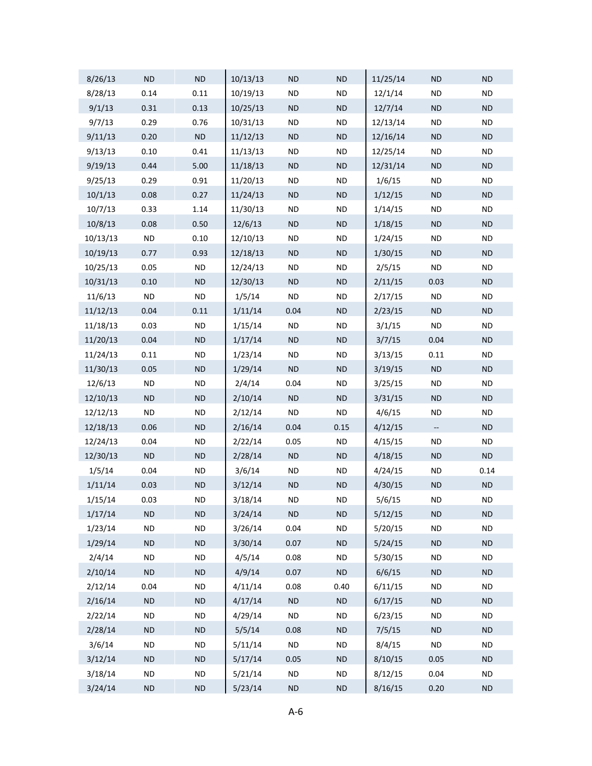| 8/26/13  | <b>ND</b> | <b>ND</b>  | 10/13/13 | <b>ND</b>  | ND        | 11/25/14 | <b>ND</b>                | <b>ND</b>  |
|----------|-----------|------------|----------|------------|-----------|----------|--------------------------|------------|
| 8/28/13  | 0.14      | 0.11       | 10/19/13 | <b>ND</b>  | <b>ND</b> | 12/1/14  | <b>ND</b>                | <b>ND</b>  |
| 9/1/13   | 0.31      | 0.13       | 10/25/13 | <b>ND</b>  | ND        | 12/7/14  | <b>ND</b>                | <b>ND</b>  |
| 9/7/13   | 0.29      | 0.76       | 10/31/13 | <b>ND</b>  | <b>ND</b> | 12/13/14 | <b>ND</b>                | <b>ND</b>  |
| 9/11/13  | 0.20      | $\sf ND$   | 11/12/13 | <b>ND</b>  | ND        | 12/16/14 | <b>ND</b>                | ND         |
| 9/13/13  | 0.10      | 0.41       | 11/13/13 | <b>ND</b>  | <b>ND</b> | 12/25/14 | <b>ND</b>                | <b>ND</b>  |
| 9/19/13  | 0.44      | 5.00       | 11/18/13 | <b>ND</b>  | ND        | 12/31/14 | ND                       | ND         |
| 9/25/13  | 0.29      | 0.91       | 11/20/13 | <b>ND</b>  | <b>ND</b> | 1/6/15   | <b>ND</b>                | <b>ND</b>  |
| 10/1/13  | 0.08      | 0.27       | 11/24/13 | <b>ND</b>  | ND        | 1/12/15  | <b>ND</b>                | ND         |
| 10/7/13  | 0.33      | 1.14       | 11/30/13 | <b>ND</b>  | <b>ND</b> | 1/14/15  | <b>ND</b>                | <b>ND</b>  |
| 10/8/13  | 0.08      | 0.50       | 12/6/13  | <b>ND</b>  | ND        | 1/18/15  | ND                       | ND         |
| 10/13/13 | <b>ND</b> | 0.10       | 12/10/13 | <b>ND</b>  | <b>ND</b> | 1/24/15  | <b>ND</b>                | <b>ND</b>  |
| 10/19/13 | 0.77      | 0.93       | 12/18/13 | <b>ND</b>  | ND        | 1/30/15  | <b>ND</b>                | ND         |
| 10/25/13 | 0.05      | <b>ND</b>  | 12/24/13 | <b>ND</b>  | <b>ND</b> | 2/5/15   | <b>ND</b>                | <b>ND</b>  |
| 10/31/13 | 0.10      | <b>ND</b>  | 12/30/13 | <b>ND</b>  | ND        | 2/11/15  | 0.03                     | ND         |
| 11/6/13  | $\sf ND$  | <b>ND</b>  | 1/5/14   | <b>ND</b>  | <b>ND</b> | 2/17/15  | <b>ND</b>                | <b>ND</b>  |
| 11/12/13 | 0.04      | 0.11       | 1/11/14  | 0.04       | ND        | 2/23/15  | <b>ND</b>                | ND         |
| 11/18/13 | 0.03      | <b>ND</b>  | 1/15/14  | <b>ND</b>  | <b>ND</b> | 3/1/15   | <b>ND</b>                | <b>ND</b>  |
| 11/20/13 | 0.04      | <b>ND</b>  | 1/17/14  | <b>ND</b>  | ND        | 3/7/15   | 0.04                     | ND         |
| 11/24/13 | 0.11      | <b>ND</b>  | 1/23/14  | <b>ND</b>  | <b>ND</b> | 3/13/15  | 0.11                     | <b>ND</b>  |
| 11/30/13 | 0.05      | <b>ND</b>  | 1/29/14  | <b>ND</b>  | ND        | 3/19/15  | ND                       | ND         |
| 12/6/13  | <b>ND</b> | <b>ND</b>  | 2/4/14   | 0.04       | <b>ND</b> | 3/25/15  | <b>ND</b>                | <b>ND</b>  |
| 12/10/13 | <b>ND</b> | <b>ND</b>  | 2/10/14  | ND         | ND        | 3/31/15  | ND                       | ${\sf ND}$ |
| 12/12/13 | <b>ND</b> | <b>ND</b>  | 2/12/14  | <b>ND</b>  | <b>ND</b> | 4/6/15   | <b>ND</b>                | <b>ND</b>  |
| 12/18/13 | 0.06      | <b>ND</b>  | 2/16/14  | 0.04       | 0.15      | 4/12/15  | $\overline{\phantom{a}}$ | <b>ND</b>  |
| 12/24/13 | 0.04      | <b>ND</b>  | 2/22/14  | 0.05       | <b>ND</b> | 4/15/15  | <b>ND</b>                | <b>ND</b>  |
| 12/30/13 | <b>ND</b> | <b>ND</b>  | 2/28/14  | ND         | ND        | 4/18/15  | <b>ND</b>                | ND         |
| 1/5/14   | 0.04      | <b>ND</b>  | 3/6/14   | <b>ND</b>  | <b>ND</b> | 4/24/15  | <b>ND</b>                | 0.14       |
| 1/11/14  | 0.03      | ND         | 3/12/14  | <b>ND</b>  | ND        | 4/30/15  | ND                       | ND         |
| 1/15/14  | 0.03      | <b>ND</b>  | 3/18/14  | <b>ND</b>  | <b>ND</b> | 5/6/15   | ND                       | <b>ND</b>  |
| 1/17/14  | <b>ND</b> | ${\sf ND}$ | 3/24/14  | ND         | ND        | 5/12/15  | ${\sf ND}$               | <b>ND</b>  |
| 1/23/14  | <b>ND</b> | <b>ND</b>  | 3/26/14  | 0.04       | <b>ND</b> | 5/20/15  | <b>ND</b>                | <b>ND</b>  |
| 1/29/14  | <b>ND</b> | ${\sf ND}$ | 3/30/14  | 0.07       | ND        | 5/24/15  | ND                       | <b>ND</b>  |
| 2/4/14   | <b>ND</b> | <b>ND</b>  | 4/5/14   | 0.08       | <b>ND</b> | 5/30/15  | <b>ND</b>                | <b>ND</b>  |
| 2/10/14  | ND        | ND         | 4/9/14   | 0.07       | ND        | 6/6/15   | ${\sf ND}$               | ${\sf ND}$ |
| 2/12/14  | 0.04      | <b>ND</b>  | 4/11/14  | 0.08       | 0.40      | 6/11/15  | <b>ND</b>                | <b>ND</b>  |
| 2/16/14  | ND        | ${\sf ND}$ | 4/17/14  | ND         | ND        | 6/17/15  | ${\sf ND}$               | <b>ND</b>  |
| 2/22/14  | <b>ND</b> | <b>ND</b>  | 4/29/14  | <b>ND</b>  | <b>ND</b> | 6/23/15  | <b>ND</b>                | <b>ND</b>  |
| 2/28/14  | ND        | ND         | 5/5/14   | 0.08       | ND        | 7/5/15   | $\sf ND$                 | ${\sf ND}$ |
| 3/6/14   | <b>ND</b> | <b>ND</b>  | 5/11/14  | <b>ND</b>  | <b>ND</b> | 8/4/15   | <b>ND</b>                | <b>ND</b>  |
| 3/12/14  | ND        | $\sf ND$   | 5/17/14  | 0.05       | ND        | 8/10/15  | 0.05                     | <b>ND</b>  |
| 3/18/14  | <b>ND</b> | <b>ND</b>  | 5/21/14  | <b>ND</b>  | $\sf ND$  | 8/12/15  | 0.04                     | <b>ND</b>  |
| 3/24/14  | $\sf ND$  | $\sf ND$   | 5/23/14  | ${\sf ND}$ | $\sf ND$  | 8/16/15  | 0.20                     | $\sf ND$   |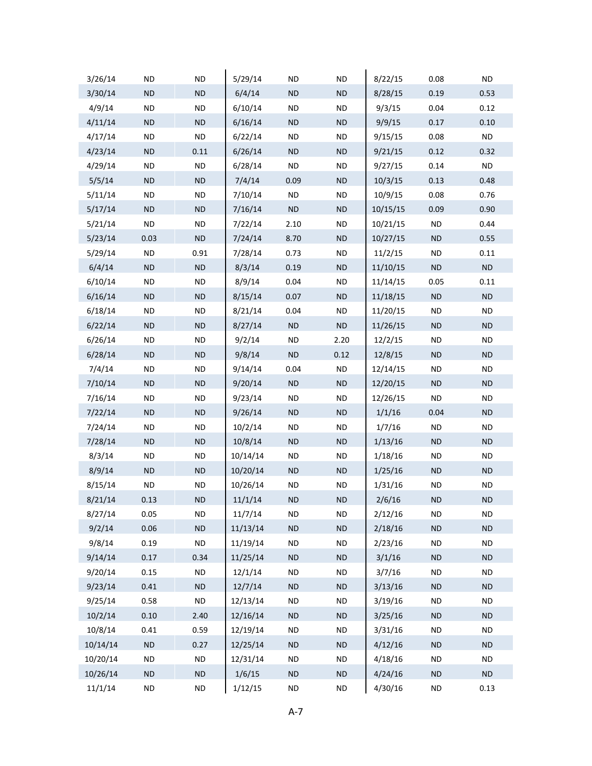| 3/26/14  | ND        | <b>ND</b>  | 5/29/14  | ND        | <b>ND</b> | 8/22/15  | 0.08      | ND.       |
|----------|-----------|------------|----------|-----------|-----------|----------|-----------|-----------|
| 3/30/14  | <b>ND</b> | ND         | 6/4/14   | <b>ND</b> | <b>ND</b> | 8/28/15  | 0.19      | 0.53      |
| 4/9/14   | <b>ND</b> | <b>ND</b>  | 6/10/14  | <b>ND</b> | <b>ND</b> | 9/3/15   | 0.04      | 0.12      |
| 4/11/14  | <b>ND</b> | ND         | 6/16/14  | <b>ND</b> | <b>ND</b> | 9/9/15   | 0.17      | 0.10      |
| 4/17/14  | <b>ND</b> | <b>ND</b>  | 6/22/14  | ND.       | <b>ND</b> | 9/15/15  | 0.08      | <b>ND</b> |
| 4/23/14  | <b>ND</b> | 0.11       | 6/26/14  | <b>ND</b> | <b>ND</b> | 9/21/15  | 0.12      | 0.32      |
| 4/29/14  | <b>ND</b> | <b>ND</b>  | 6/28/14  | <b>ND</b> | <b>ND</b> | 9/27/15  | 0.14      | <b>ND</b> |
| 5/5/14   | <b>ND</b> | $\sf ND$   | 7/4/14   | 0.09      | <b>ND</b> | 10/3/15  | 0.13      | 0.48      |
| 5/11/14  | <b>ND</b> | <b>ND</b>  | 7/10/14  | ND.       | $\sf ND$  | 10/9/15  | 0.08      | 0.76      |
| 5/17/14  | <b>ND</b> | <b>ND</b>  | 7/16/14  | ND        | <b>ND</b> | 10/15/15 | 0.09      | 0.90      |
| 5/21/14  | <b>ND</b> | <b>ND</b>  | 7/22/14  | 2.10      | <b>ND</b> | 10/21/15 | <b>ND</b> | 0.44      |
| 5/23/14  | 0.03      | $\sf ND$   | 7/24/14  | 8.70      | <b>ND</b> | 10/27/15 | <b>ND</b> | 0.55      |
| 5/29/14  | <b>ND</b> | 0.91       | 7/28/14  | 0.73      | <b>ND</b> | 11/2/15  | <b>ND</b> | 0.11      |
| 6/4/14   | <b>ND</b> | ${\sf ND}$ | 8/3/14   | 0.19      | <b>ND</b> | 11/10/15 | <b>ND</b> | <b>ND</b> |
| 6/10/14  | <b>ND</b> | <b>ND</b>  | 8/9/14   | 0.04      | <b>ND</b> | 11/14/15 | 0.05      | 0.11      |
| 6/16/14  | <b>ND</b> | ND         | 8/15/14  | 0.07      | <b>ND</b> | 11/18/15 | <b>ND</b> | <b>ND</b> |
| 6/18/14  | <b>ND</b> | <b>ND</b>  | 8/21/14  | 0.04      | <b>ND</b> | 11/20/15 | <b>ND</b> | ND.       |
| 6/22/14  | <b>ND</b> | <b>ND</b>  | 8/27/14  | ND        | <b>ND</b> | 11/26/15 | <b>ND</b> | <b>ND</b> |
| 6/26/14  | <b>ND</b> | <b>ND</b>  | 9/2/14   | <b>ND</b> | 2.20      | 12/2/15  | <b>ND</b> | ND.       |
| 6/28/14  | <b>ND</b> | ND         | 9/8/14   | ND        | 0.12      | 12/8/15  | <b>ND</b> | <b>ND</b> |
| 7/4/14   | <b>ND</b> | <b>ND</b>  | 9/14/14  | 0.04      | <b>ND</b> | 12/14/15 | <b>ND</b> | ND.       |
| 7/10/14  | <b>ND</b> | ND         | 9/20/14  | ND        | <b>ND</b> | 12/20/15 | <b>ND</b> | <b>ND</b> |
| 7/16/14  | <b>ND</b> | <b>ND</b>  | 9/23/14  | <b>ND</b> | <b>ND</b> | 12/26/15 | <b>ND</b> | ND.       |
| 7/22/14  | <b>ND</b> | ND         | 9/26/14  | ND        | <b>ND</b> | 1/1/16   | 0.04      | <b>ND</b> |
| 7/24/14  | <b>ND</b> | ND         | 10/2/14  | ND        | <b>ND</b> | 1/7/16   | <b>ND</b> | ND.       |
| 7/28/14  | <b>ND</b> | <b>ND</b>  | 10/8/14  | <b>ND</b> | <b>ND</b> | 1/13/16  | <b>ND</b> | <b>ND</b> |
| 8/3/14   | <b>ND</b> | <b>ND</b>  | 10/14/14 | ND.       | <b>ND</b> | 1/18/16  | <b>ND</b> | ND.       |
| 8/9/14   | <b>ND</b> | ND         | 10/20/14 | ND        | $\sf ND$  | 1/25/16  | <b>ND</b> | <b>ND</b> |
| 8/15/14  | ND        | ND         | 10/26/14 | ND        | <b>ND</b> | 1/31/16  | ND        | <b>ND</b> |
| 8/21/14  | 0.13      | <b>ND</b>  | 11/1/14  | <b>ND</b> | <b>ND</b> | 2/6/16   | <b>ND</b> | <b>ND</b> |
| 8/27/14  | 0.05      | <b>ND</b>  | 11/7/14  | <b>ND</b> | <b>ND</b> | 2/12/16  | <b>ND</b> | ND.       |
| 9/2/14   | 0.06      | $\sf ND$   | 11/13/14 | <b>ND</b> | $\sf ND$  | 2/18/16  | <b>ND</b> | <b>ND</b> |
| 9/8/14   | 0.19      | <b>ND</b>  | 11/19/14 | <b>ND</b> | <b>ND</b> | 2/23/16  | <b>ND</b> | ND.       |
| 9/14/14  | 0.17      | 0.34       | 11/25/14 | <b>ND</b> | <b>ND</b> | 3/1/16   | <b>ND</b> | <b>ND</b> |
| 9/20/14  | 0.15      | <b>ND</b>  | 12/1/14  | <b>ND</b> | <b>ND</b> | 3/7/16   | <b>ND</b> | <b>ND</b> |
| 9/23/14  | 0.41      | <b>ND</b>  | 12/7/14  | <b>ND</b> | <b>ND</b> | 3/13/16  | <b>ND</b> | <b>ND</b> |
| 9/25/14  | 0.58      | <b>ND</b>  | 12/13/14 | <b>ND</b> | <b>ND</b> | 3/19/16  | <b>ND</b> | <b>ND</b> |
| 10/2/14  | 0.10      | 2.40       | 12/16/14 | <b>ND</b> | <b>ND</b> | 3/25/16  | <b>ND</b> | <b>ND</b> |
| 10/8/14  | 0.41      | 0.59       | 12/19/14 | <b>ND</b> | <b>ND</b> | 3/31/16  | <b>ND</b> | ND.       |
| 10/14/14 | <b>ND</b> | 0.27       | 12/25/14 | <b>ND</b> | <b>ND</b> | 4/12/16  | <b>ND</b> | <b>ND</b> |
| 10/20/14 | <b>ND</b> | <b>ND</b>  | 12/31/14 | <b>ND</b> | <b>ND</b> | 4/18/16  | <b>ND</b> | <b>ND</b> |
| 10/26/14 | <b>ND</b> | ND         | 1/6/15   | <b>ND</b> | <b>ND</b> | 4/24/16  | <b>ND</b> | <b>ND</b> |
| 11/1/14  | <b>ND</b> | <b>ND</b>  | 1/12/15  | <b>ND</b> | <b>ND</b> | 4/30/16  | <b>ND</b> | 0.13      |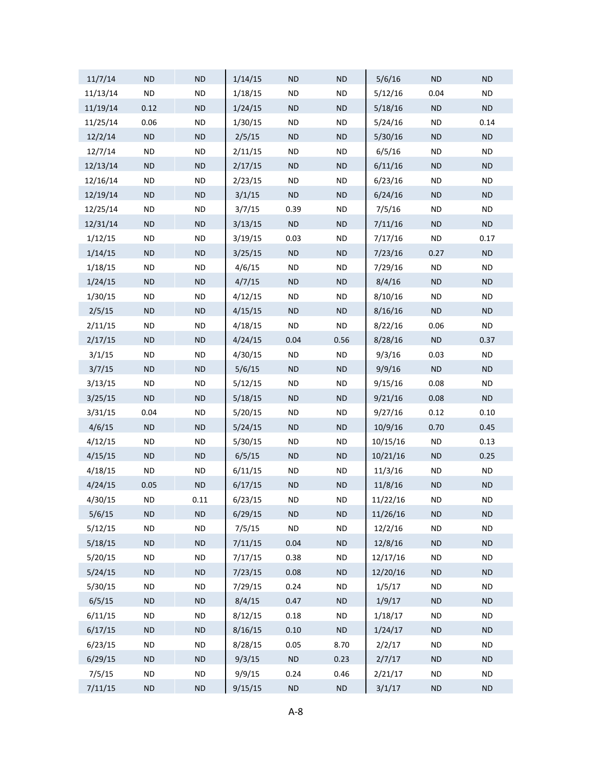| 11/7/14  | <b>ND</b> | <b>ND</b>  | 1/14/15 | <b>ND</b> | <b>ND</b>  | 5/6/16   | <b>ND</b>  | <b>ND</b> |
|----------|-----------|------------|---------|-----------|------------|----------|------------|-----------|
| 11/13/14 | <b>ND</b> | <b>ND</b>  | 1/18/15 | <b>ND</b> | <b>ND</b>  | 5/12/16  | 0.04       | <b>ND</b> |
| 11/19/14 | 0.12      | <b>ND</b>  | 1/24/15 | <b>ND</b> | ND         | 5/18/16  | ND         | <b>ND</b> |
| 11/25/14 | 0.06      | <b>ND</b>  | 1/30/15 | <b>ND</b> | <b>ND</b>  | 5/24/16  | <b>ND</b>  | 0.14      |
| 12/2/14  | <b>ND</b> | <b>ND</b>  | 2/5/15  | <b>ND</b> | ND         | 5/30/16  | <b>ND</b>  | ND        |
| 12/7/14  | <b>ND</b> | <b>ND</b>  | 2/11/15 | <b>ND</b> | <b>ND</b>  | 6/5/16   | <b>ND</b>  | <b>ND</b> |
| 12/13/14 | <b>ND</b> | <b>ND</b>  | 2/17/15 | <b>ND</b> | ND         | 6/11/16  | <b>ND</b>  | <b>ND</b> |
| 12/16/14 | <b>ND</b> | <b>ND</b>  | 2/23/15 | <b>ND</b> | <b>ND</b>  | 6/23/16  | <b>ND</b>  | <b>ND</b> |
| 12/19/14 | <b>ND</b> | <b>ND</b>  | 3/1/15  | <b>ND</b> | ND         | 6/24/16  | <b>ND</b>  | <b>ND</b> |
| 12/25/14 | <b>ND</b> | <b>ND</b>  | 3/7/15  | 0.39      | <b>ND</b>  | 7/5/16   | <b>ND</b>  | <b>ND</b> |
| 12/31/14 | <b>ND</b> | <b>ND</b>  | 3/13/15 | ND        | ND         | 7/11/16  | <b>ND</b>  | ND        |
| 1/12/15  | <b>ND</b> | <b>ND</b>  | 3/19/15 | 0.03      | <b>ND</b>  | 7/17/16  | <b>ND</b>  | 0.17      |
| 1/14/15  | <b>ND</b> | <b>ND</b>  | 3/25/15 | <b>ND</b> | ND         | 7/23/16  | 0.27       | <b>ND</b> |
| 1/18/15  | <b>ND</b> | <b>ND</b>  | 4/6/15  | ND        | <b>ND</b>  | 7/29/16  | <b>ND</b>  | <b>ND</b> |
| 1/24/15  | <b>ND</b> | <b>ND</b>  | 4/7/15  | <b>ND</b> | ND         | 8/4/16   | <b>ND</b>  | <b>ND</b> |
| 1/30/15  | <b>ND</b> | <b>ND</b>  | 4/12/15 | <b>ND</b> | <b>ND</b>  | 8/10/16  | <b>ND</b>  | <b>ND</b> |
| 2/5/15   | <b>ND</b> | <b>ND</b>  | 4/15/15 | <b>ND</b> | ND         | 8/16/16  | <b>ND</b>  | <b>ND</b> |
| 2/11/15  | <b>ND</b> | <b>ND</b>  | 4/18/15 | <b>ND</b> | <b>ND</b>  | 8/22/16  | 0.06       | <b>ND</b> |
| 2/17/15  | <b>ND</b> | <b>ND</b>  | 4/24/15 | 0.04      | 0.56       | 8/28/16  | ND         | 0.37      |
| 3/1/15   | <b>ND</b> | <b>ND</b>  | 4/30/15 | <b>ND</b> | <b>ND</b>  | 9/3/16   | 0.03       | <b>ND</b> |
| 3/7/15   | <b>ND</b> | <b>ND</b>  | 5/6/15  | <b>ND</b> | ND         | 9/9/16   | ND         | <b>ND</b> |
| 3/13/15  | <b>ND</b> | <b>ND</b>  | 5/12/15 | <b>ND</b> | <b>ND</b>  | 9/15/16  | 0.08       | <b>ND</b> |
| 3/25/15  | <b>ND</b> | <b>ND</b>  | 5/18/15 | <b>ND</b> | ND         | 9/21/16  | 0.08       | ND        |
| 3/31/15  | 0.04      | <b>ND</b>  | 5/20/15 | <b>ND</b> | <b>ND</b>  | 9/27/16  | 0.12       | 0.10      |
| 4/6/15   | <b>ND</b> | <b>ND</b>  | 5/24/15 | <b>ND</b> | ND         | 10/9/16  | 0.70       | 0.45      |
| 4/12/15  | <b>ND</b> | <b>ND</b>  | 5/30/15 | <b>ND</b> | <b>ND</b>  | 10/15/16 | <b>ND</b>  | 0.13      |
| 4/15/15  | <b>ND</b> | <b>ND</b>  | 6/5/15  | <b>ND</b> | ND         | 10/21/16 | <b>ND</b>  | 0.25      |
| 4/18/15  | <b>ND</b> | <b>ND</b>  | 6/11/15 | <b>ND</b> | <b>ND</b>  | 11/3/16  | <b>ND</b>  | <b>ND</b> |
| 4/24/15  | 0.05      | ND         | 6/17/15 | <b>ND</b> | ND         | 11/8/16  | <b>ND</b>  | <b>ND</b> |
| 4/30/15  | <b>ND</b> | 0.11       | 6/23/15 | <b>ND</b> | <b>ND</b>  | 11/22/16 | ND         | <b>ND</b> |
| 5/6/15   | <b>ND</b> | ${\sf ND}$ | 6/29/15 | <b>ND</b> | ${\sf ND}$ | 11/26/16 | ${\sf ND}$ | <b>ND</b> |
| 5/12/15  | <b>ND</b> | <b>ND</b>  | 7/5/15  | <b>ND</b> | <b>ND</b>  | 12/2/16  | <b>ND</b>  | <b>ND</b> |
| 5/18/15  | <b>ND</b> | ${\sf ND}$ | 7/11/15 | 0.04      | ${\sf ND}$ | 12/8/16  | ND         | <b>ND</b> |
| 5/20/15  | <b>ND</b> | <b>ND</b>  | 7/17/15 | 0.38      | <b>ND</b>  | 12/17/16 | <b>ND</b>  | <b>ND</b> |
| 5/24/15  | ND        | ${\sf ND}$ | 7/23/15 | 0.08      | ND         | 12/20/16 | ${\sf ND}$ | ND        |
| 5/30/15  | <b>ND</b> | <b>ND</b>  | 7/29/15 | 0.24      | <b>ND</b>  | 1/5/17   | <b>ND</b>  | <b>ND</b> |
| 6/5/15   | ND        | ${\sf ND}$ | 8/4/15  | 0.47      | ND         | 1/9/17   | ND         | <b>ND</b> |
| 6/11/15  | <b>ND</b> | <b>ND</b>  | 8/12/15 | 0.18      | <b>ND</b>  | 1/18/17  | <b>ND</b>  | <b>ND</b> |
| 6/17/15  | ND        | ${\sf ND}$ | 8/16/15 | $0.10\,$  | ND         | 1/24/17  | ${\sf ND}$ | ND        |
| 6/23/15  | <b>ND</b> | <b>ND</b>  | 8/28/15 | 0.05      | 8.70       | 2/2/17   | <b>ND</b>  | <b>ND</b> |
| 6/29/15  | ND        | ${\sf ND}$ | 9/3/15  | $\sf ND$  | 0.23       | 2/7/17   | ND         | <b>ND</b> |
| 7/5/15   | <b>ND</b> | <b>ND</b>  | 9/9/15  | 0.24      | 0.46       | 2/21/17  | $\sf ND$   | <b>ND</b> |
| 7/11/15  | $\sf ND$  | $\sf ND$   | 9/15/15 | $\sf ND$  | $\sf ND$   | 3/1/17   | $\sf ND$   | ND        |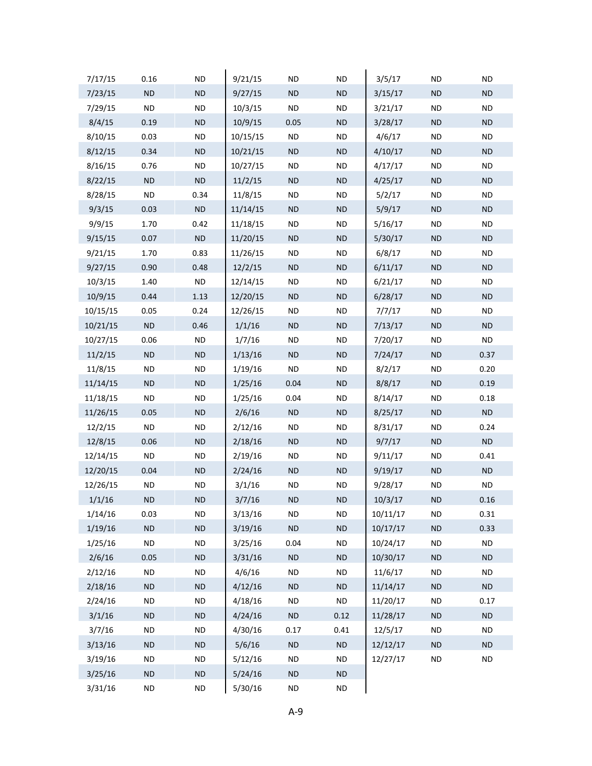| 7/17/15  | 0.16       | <b>ND</b>  | 9/21/15  | <b>ND</b> | <b>ND</b> | 3/5/17   | <b>ND</b>  | <b>ND</b> |
|----------|------------|------------|----------|-----------|-----------|----------|------------|-----------|
| 7/23/15  | ND         | ND         | 9/27/15  | ND        | $\sf ND$  | 3/15/17  | ND         | ND        |
| 7/29/15  | <b>ND</b>  | <b>ND</b>  | 10/3/15  | <b>ND</b> | <b>ND</b> | 3/21/17  | <b>ND</b>  | <b>ND</b> |
| 8/4/15   | 0.19       | ND         | 10/9/15  | 0.05      | $\sf ND$  | 3/28/17  | ND         | <b>ND</b> |
| 8/10/15  | 0.03       | <b>ND</b>  | 10/15/15 | <b>ND</b> | <b>ND</b> | 4/6/17   | <b>ND</b>  | <b>ND</b> |
| 8/12/15  | 0.34       | ND         | 10/21/15 | ND        | $\sf ND$  | 4/10/17  | ND         | <b>ND</b> |
| 8/16/15  | 0.76       | <b>ND</b>  | 10/27/15 | <b>ND</b> | <b>ND</b> | 4/17/17  | <b>ND</b>  | <b>ND</b> |
| 8/22/15  | ND         | $\sf ND$   | 11/2/15  | ND        | $\sf ND$  | 4/25/17  | ND         | <b>ND</b> |
| 8/28/15  | <b>ND</b>  | 0.34       | 11/8/15  | <b>ND</b> | <b>ND</b> | 5/2/17   | <b>ND</b>  | <b>ND</b> |
| 9/3/15   | 0.03       | $\sf ND$   | 11/14/15 | ND        | $\sf ND$  | 5/9/17   | ND         | <b>ND</b> |
| 9/9/15   | 1.70       | 0.42       | 11/18/15 | <b>ND</b> | <b>ND</b> | 5/16/17  | <b>ND</b>  | <b>ND</b> |
| 9/15/15  | 0.07       | <b>ND</b>  | 11/20/15 | ND        | $\sf ND$  | 5/30/17  | ND         | <b>ND</b> |
| 9/21/15  | 1.70       | 0.83       | 11/26/15 | <b>ND</b> | <b>ND</b> | 6/8/17   | <b>ND</b>  | <b>ND</b> |
| 9/27/15  | 0.90       | 0.48       | 12/2/15  | ND        | $\sf ND$  | 6/11/17  | ND         | ND        |
| 10/3/15  | 1.40       | <b>ND</b>  | 12/14/15 | <b>ND</b> | <b>ND</b> | 6/21/17  | <b>ND</b>  | <b>ND</b> |
| 10/9/15  | 0.44       | 1.13       | 12/20/15 | ND        | $\sf ND$  | 6/28/17  | ND         | <b>ND</b> |
| 10/15/15 | 0.05       | 0.24       | 12/26/15 | <b>ND</b> | <b>ND</b> | 7/7/17   | <b>ND</b>  | <b>ND</b> |
| 10/21/15 | ND         | 0.46       | 1/1/16   | ND        | $\sf ND$  | 7/13/17  | ND         | ND        |
| 10/27/15 | 0.06       | <b>ND</b>  | 1/7/16   | <b>ND</b> | <b>ND</b> | 7/20/17  | <b>ND</b>  | <b>ND</b> |
| 11/2/15  | ND         | ${\sf ND}$ | 1/13/16  | ND        | ND        | 7/24/17  | ND         | 0.37      |
| 11/8/15  | <b>ND</b>  | <b>ND</b>  | 1/19/16  | <b>ND</b> | <b>ND</b> | 8/2/17   | <b>ND</b>  | 0.20      |
| 11/14/15 | ND         | ${\sf ND}$ | 1/25/16  | 0.04      | $\sf ND$  | 8/8/17   | ND         | 0.19      |
| 11/18/15 | <b>ND</b>  | <b>ND</b>  | 1/25/16  | 0.04      | <b>ND</b> | 8/14/17  | <b>ND</b>  | 0.18      |
| 11/26/15 | 0.05       | ${\sf ND}$ | 2/6/16   | ND        | $\sf ND$  | 8/25/17  | ND         | <b>ND</b> |
| 12/2/15  | <b>ND</b>  | <b>ND</b>  | 2/12/16  | <b>ND</b> | <b>ND</b> | 8/31/17  | <b>ND</b>  | 0.24      |
| 12/8/15  | 0.06       | ND         | 2/18/16  | ND        | $\sf ND$  | 9/7/17   | ND         | ND        |
| 12/14/15 | <b>ND</b>  | <b>ND</b>  | 2/19/16  | <b>ND</b> | <b>ND</b> | 9/11/17  | <b>ND</b>  | 0.41      |
| 12/20/15 | 0.04       | ND         | 2/24/16  | ND        | $\sf ND$  | 9/19/17  | ND         | ND        |
| 12/26/15 | <b>ND</b>  | <b>ND</b>  | 3/1/16   | <b>ND</b> | <b>ND</b> | 9/28/17  | <b>ND</b>  | <b>ND</b> |
| 1/1/16   | ND         | ND         | 3/7/16   | ND        | ND        | 10/3/17  | ND         | 0.16      |
| 1/14/16  | 0.03       | <b>ND</b>  | 3/13/16  | <b>ND</b> | <b>ND</b> | 10/11/17 | <b>ND</b>  | 0.31      |
| 1/19/16  | $\sf ND$   | $\sf ND$   | 3/19/16  | $\sf ND$  | $\sf ND$  | 10/17/17 | ND         | 0.33      |
| 1/25/16  | <b>ND</b>  | <b>ND</b>  | 3/25/16  | 0.04      | <b>ND</b> | 10/24/17 | <b>ND</b>  | <b>ND</b> |
| 2/6/16   | 0.05       | ND         | 3/31/16  | ND        | $\sf ND$  | 10/30/17 | ND         | ND        |
| 2/12/16  | $\sf ND$   | <b>ND</b>  | 4/6/16   | <b>ND</b> | $\sf ND$  | 11/6/17  | <b>ND</b>  | <b>ND</b> |
| 2/18/16  | <b>ND</b>  | $\sf ND$   | 4/12/16  | ND        | $\sf ND$  | 11/14/17 | ND         | ND        |
| 2/24/16  | <b>ND</b>  | <b>ND</b>  | 4/18/16  | <b>ND</b> | <b>ND</b> | 11/20/17 | <b>ND</b>  | 0.17      |
| 3/1/16   | <b>ND</b>  | ND         | 4/24/16  | $\sf ND$  | 0.12      | 11/28/17 | ND         | ND        |
| 3/7/16   | <b>ND</b>  | <b>ND</b>  | 4/30/16  | 0.17      | 0.41      | 12/5/17  | <b>ND</b>  | <b>ND</b> |
| 3/13/16  | <b>ND</b>  | ND         | 5/6/16   | ND        | ND        | 12/12/17 | ND         | ND        |
| 3/19/16  | <b>ND</b>  | <b>ND</b>  | 5/12/16  | <b>ND</b> | <b>ND</b> | 12/27/17 | ${\sf ND}$ | <b>ND</b> |
| 3/25/16  | <b>ND</b>  | $\sf ND$   | 5/24/16  | <b>ND</b> | $\sf ND$  |          |            |           |
| 3/31/16  | ${\sf ND}$ | $\sf ND$   | 5/30/16  | $\sf ND$  | $\sf ND$  |          |            |           |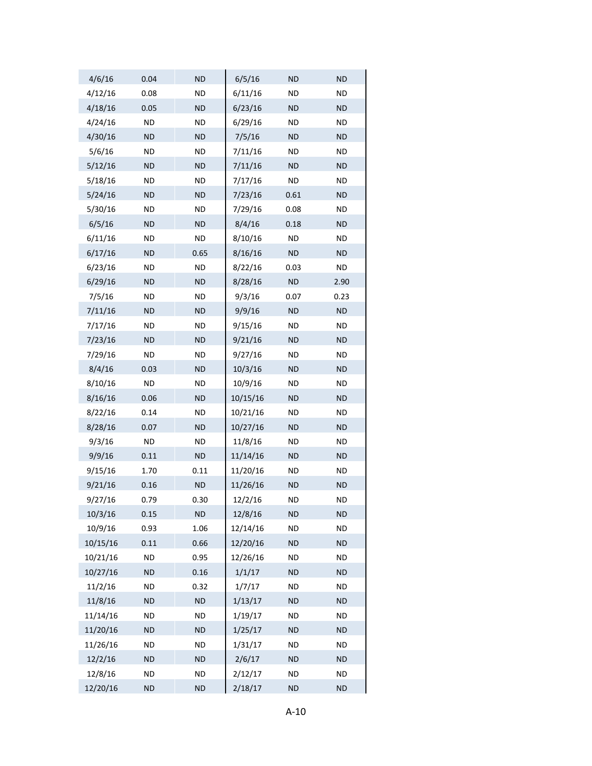| 4/6/16   | 0.04      | <b>ND</b> | 6/5/16   | <b>ND</b> | <b>ND</b> |
|----------|-----------|-----------|----------|-----------|-----------|
| 4/12/16  | 0.08      | ND        | 6/11/16  | <b>ND</b> | <b>ND</b> |
| 4/18/16  | 0.05      | <b>ND</b> | 6/23/16  | <b>ND</b> | <b>ND</b> |
| 4/24/16  | ND.       | <b>ND</b> | 6/29/16  | ND.       | ND.       |
| 4/30/16  | <b>ND</b> | <b>ND</b> | 7/5/16   | <b>ND</b> | <b>ND</b> |
| 5/6/16   | ND        | <b>ND</b> | 7/11/16  | <b>ND</b> | <b>ND</b> |
| 5/12/16  | <b>ND</b> | <b>ND</b> | 7/11/16  | <b>ND</b> | <b>ND</b> |
| 5/18/16  | ND.       | <b>ND</b> | 7/17/16  | ND.       | ND.       |
| 5/24/16  | <b>ND</b> | <b>ND</b> | 7/23/16  | 0.61      | <b>ND</b> |
| 5/30/16  | <b>ND</b> | <b>ND</b> | 7/29/16  | 0.08      | <b>ND</b> |
| 6/5/16   | <b>ND</b> | <b>ND</b> | 8/4/16   | 0.18      | <b>ND</b> |
| 6/11/16  | ND.       | <b>ND</b> | 8/10/16  | ND.       | ND.       |
| 6/17/16  | <b>ND</b> | 0.65      | 8/16/16  | ND        | <b>ND</b> |
| 6/23/16  | <b>ND</b> | ND        | 8/22/16  | 0.03      | ND.       |
| 6/29/16  | <b>ND</b> | <b>ND</b> | 8/28/16  | <b>ND</b> | 2.90      |
| 7/5/16   | ND.       | <b>ND</b> | 9/3/16   | 0.07      | 0.23      |
| 7/11/16  | <b>ND</b> | <b>ND</b> | 9/9/16   | <b>ND</b> | <b>ND</b> |
| 7/17/16  | ND        | <b>ND</b> | 9/15/16  | <b>ND</b> | <b>ND</b> |
| 7/23/16  | <b>ND</b> | <b>ND</b> | 9/21/16  | <b>ND</b> | <b>ND</b> |
| 7/29/16  | ND.       | <b>ND</b> | 9/27/16  | <b>ND</b> | ND.       |
| 8/4/16   | 0.03      | <b>ND</b> | 10/3/16  | <b>ND</b> | <b>ND</b> |
| 8/10/16  | <b>ND</b> | <b>ND</b> | 10/9/16  | <b>ND</b> | ND.       |
| 8/16/16  | 0.06      | <b>ND</b> | 10/15/16 | <b>ND</b> | <b>ND</b> |
| 8/22/16  | 0.14      | <b>ND</b> | 10/21/16 | <b>ND</b> | <b>ND</b> |
| 8/28/16  | 0.07      | <b>ND</b> | 10/27/16 | <b>ND</b> | <b>ND</b> |
| 9/3/16   | ND.       | <b>ND</b> | 11/8/16  | <b>ND</b> | ND.       |
| 9/9/16   | 0.11      | <b>ND</b> | 11/14/16 | <b>ND</b> | <b>ND</b> |
| 9/15/16  | 1.70      | 0.11      | 11/20/16 | <b>ND</b> | <b>ND</b> |
| 9/21/16  | 0.16      | <b>ND</b> | 11/26/16 | <b>ND</b> | <b>ND</b> |
| 9/27/16  | 0.79      | 0.30      | 12/2/16  | <b>ND</b> | ND        |
| 10/3/16  | 0.15      | <b>ND</b> | 12/8/16  | <b>ND</b> | <b>ND</b> |
| 10/9/16  | 0.93      | 1.06      | 12/14/16 | <b>ND</b> | <b>ND</b> |
| 10/15/16 | 0.11      | 0.66      | 12/20/16 | <b>ND</b> | <b>ND</b> |
| 10/21/16 | <b>ND</b> | 0.95      | 12/26/16 | ND.       | <b>ND</b> |
| 10/27/16 | <b>ND</b> | 0.16      | 1/1/17   | <b>ND</b> | <b>ND</b> |
| 11/2/16  | ND.       | 0.32      | 1/7/17   | ND        | ND.       |
| 11/8/16  | <b>ND</b> | <b>ND</b> | 1/13/17  | <b>ND</b> | <b>ND</b> |
| 11/14/16 | ND        | <b>ND</b> | 1/19/17  | ND.       | <b>ND</b> |
| 11/20/16 | <b>ND</b> | <b>ND</b> | 1/25/17  | <b>ND</b> | <b>ND</b> |
| 11/26/16 | <b>ND</b> | <b>ND</b> | 1/31/17  | ND        | ND.       |
| 12/2/16  | <b>ND</b> | <b>ND</b> | 2/6/17   | <b>ND</b> | <b>ND</b> |
| 12/8/16  | ND.       | ND        | 2/12/17  | ND.       | <b>ND</b> |
| 12/20/16 | <b>ND</b> | <b>ND</b> | 2/18/17  | <b>ND</b> | <b>ND</b> |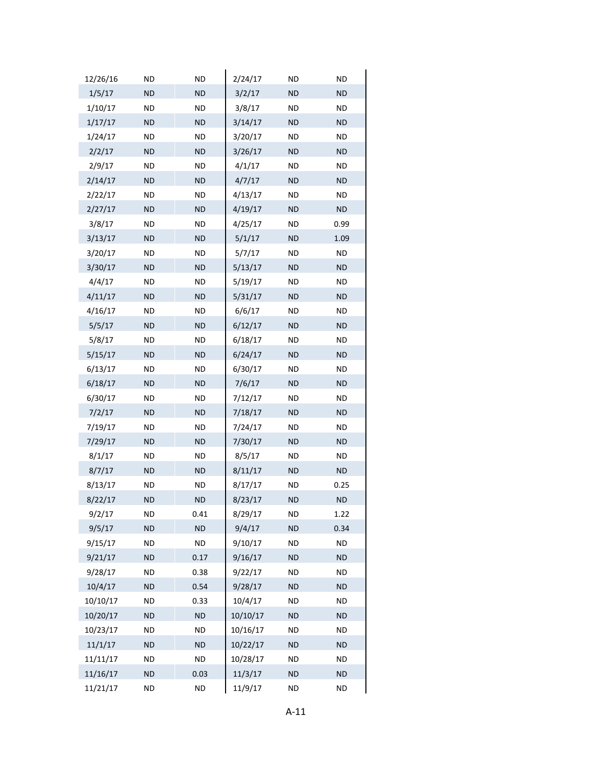| 12/26/16 | <b>ND</b> | <b>ND</b> | 2/24/17  | ND        | <b>ND</b> |
|----------|-----------|-----------|----------|-----------|-----------|
| 1/5/17   | <b>ND</b> | <b>ND</b> | 3/2/17   | <b>ND</b> | <b>ND</b> |
| 1/10/17  | <b>ND</b> | <b>ND</b> | 3/8/17   | ND        | <b>ND</b> |
| 1/17/17  | <b>ND</b> | <b>ND</b> | 3/14/17  | <b>ND</b> | ND.       |
| 1/24/17  | <b>ND</b> | <b>ND</b> | 3/20/17  | ND        | <b>ND</b> |
| 2/2/17   | <b>ND</b> | <b>ND</b> | 3/26/17  | <b>ND</b> | <b>ND</b> |
| 2/9/17   | <b>ND</b> | <b>ND</b> | 4/1/17   | ND        | <b>ND</b> |
| 2/14/17  | ND.       | <b>ND</b> | 4/7/17   | <b>ND</b> | ND.       |
| 2/22/17  | <b>ND</b> | <b>ND</b> | 4/13/17  | ND        | <b>ND</b> |
| 2/27/17  | <b>ND</b> | <b>ND</b> | 4/19/17  | <b>ND</b> | <b>ND</b> |
| 3/8/17   | <b>ND</b> | <b>ND</b> | 4/25/17  | ND        | 0.99      |
| 3/13/17  | ND.       | <b>ND</b> | 5/1/17   | <b>ND</b> | 1.09      |
| 3/20/17  | <b>ND</b> | <b>ND</b> | 5/7/17   | ND        | <b>ND</b> |
| 3/30/17  | <b>ND</b> | <b>ND</b> | 5/13/17  | <b>ND</b> | <b>ND</b> |
| 4/4/17   | <b>ND</b> | <b>ND</b> | 5/19/17  | ND        | <b>ND</b> |
| 4/11/17  | ND.       | <b>ND</b> | 5/31/17  | <b>ND</b> | <b>ND</b> |
| 4/16/17  | <b>ND</b> | <b>ND</b> | 6/6/17   | ND        | <b>ND</b> |
| 5/5/17   | <b>ND</b> | <b>ND</b> | 6/12/17  | <b>ND</b> | <b>ND</b> |
| 5/8/17   | <b>ND</b> | <b>ND</b> | 6/18/17  | ND        | <b>ND</b> |
| 5/15/17  | ND.       | <b>ND</b> | 6/24/17  | <b>ND</b> | ND.       |
| 6/13/17  | <b>ND</b> | <b>ND</b> | 6/30/17  | ND        | <b>ND</b> |
| 6/18/17  | <b>ND</b> | <b>ND</b> | 7/6/17   | <b>ND</b> | <b>ND</b> |
| 6/30/17  | <b>ND</b> | <b>ND</b> | 7/12/17  | ND        | <b>ND</b> |
| 7/2/17   | <b>ND</b> | <b>ND</b> | 7/18/17  | <b>ND</b> | <b>ND</b> |
| 7/19/17  | <b>ND</b> | <b>ND</b> | 7/24/17  | ND        | <b>ND</b> |
| 7/29/17  | <b>ND</b> | <b>ND</b> | 7/30/17  | <b>ND</b> | ND.       |
| 8/1/17   | <b>ND</b> | <b>ND</b> | 8/5/17   | ND        | <b>ND</b> |
| 8/7/17   | <b>ND</b> | <b>ND</b> | 8/11/17  | <b>ND</b> | <b>ND</b> |
| 8/13/17  | <b>ND</b> | <b>ND</b> | 8/17/17  | ND        | 0.25      |
| 8/22/17  | <b>ND</b> | <b>ND</b> | 8/23/17  | ND.       | <b>ND</b> |
| 9/2/17   | <b>ND</b> | 0.41      | 8/29/17  | ND        | 1.22      |
| 9/5/17   | <b>ND</b> | <b>ND</b> | 9/4/17   | <b>ND</b> | 0.34      |
| 9/15/17  | <b>ND</b> | <b>ND</b> | 9/10/17  | ND        | <b>ND</b> |
| 9/21/17  | <b>ND</b> | 0.17      | 9/16/17  | <b>ND</b> | ND.       |
| 9/28/17  | <b>ND</b> | 0.38      | 9/22/17  | ND        | <b>ND</b> |
| 10/4/17  | <b>ND</b> | 0.54      | 9/28/17  | <b>ND</b> | <b>ND</b> |
| 10/10/17 | <b>ND</b> | 0.33      | 10/4/17  | ND        | <b>ND</b> |
| 10/20/17 | <b>ND</b> | <b>ND</b> | 10/10/17 | <b>ND</b> | <b>ND</b> |
| 10/23/17 | <b>ND</b> | <b>ND</b> | 10/16/17 | ND        | <b>ND</b> |
| 11/1/17  | <b>ND</b> | <b>ND</b> | 10/22/17 | <b>ND</b> | <b>ND</b> |
| 11/11/17 | <b>ND</b> | <b>ND</b> | 10/28/17 | ND        | <b>ND</b> |
| 11/16/17 | <b>ND</b> | 0.03      | 11/3/17  | <b>ND</b> | <b>ND</b> |
| 11/21/17 | ND        | <b>ND</b> | 11/9/17  | ND        | <b>ND</b> |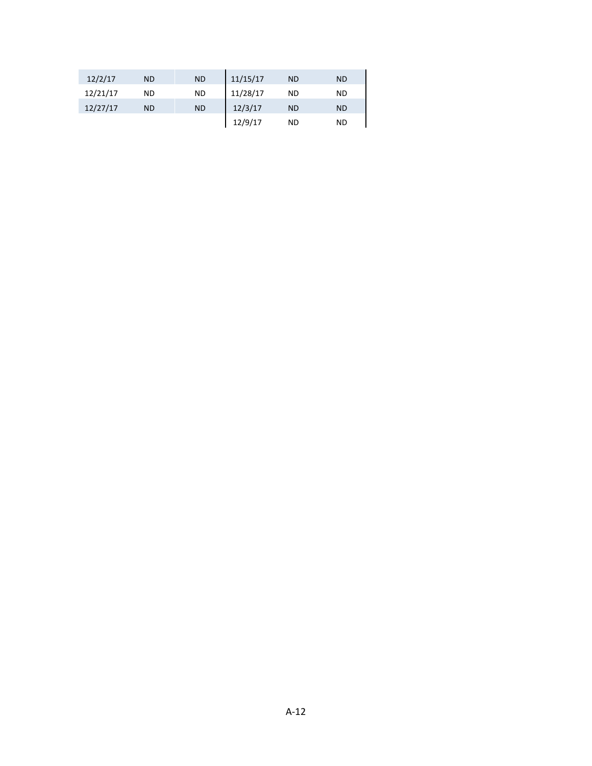| 12/2/17  | <b>ND</b> | <b>ND</b> | 11/15/17 | <b>ND</b> | <b>ND</b> |
|----------|-----------|-----------|----------|-----------|-----------|
| 12/21/17 | <b>ND</b> | <b>ND</b> | 11/28/17 | ND        | ND        |
| 12/27/17 | <b>ND</b> | <b>ND</b> | 12/3/17  | <b>ND</b> | <b>ND</b> |
|          |           |           | 12/9/17  | ND        | ND        |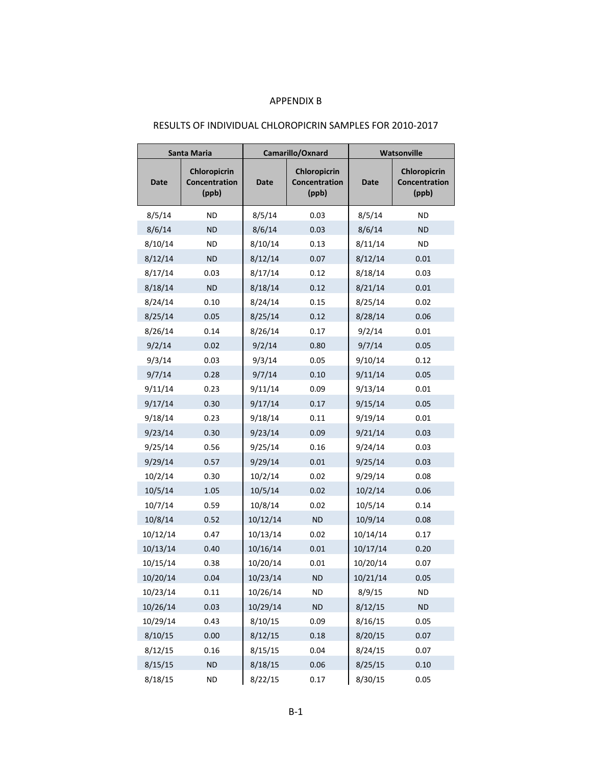#### APPENDIX B

## RESULTS OF INDIVIDUAL CHLOROPICRIN SAMPLES FOR 2010-2017

|          | Santa Maria                            |             | Camarillo/Oxnard                       |          | <b>Watsonville</b>                     |
|----------|----------------------------------------|-------------|----------------------------------------|----------|----------------------------------------|
| Date     | Chloropicrin<br>Concentration<br>(ppb) | <b>Date</b> | Chloropicrin<br>Concentration<br>(ppb) | Date     | Chloropicrin<br>Concentration<br>(ppb) |
| 8/5/14   | <b>ND</b>                              | 8/5/14      | 0.03                                   | 8/5/14   | ΝD                                     |
| 8/6/14   | <b>ND</b>                              | 8/6/14      | 0.03                                   | 8/6/14   | <b>ND</b>                              |
| 8/10/14  | ND                                     | 8/10/14     | 0.13                                   | 8/11/14  | <b>ND</b>                              |
| 8/12/14  | <b>ND</b>                              | 8/12/14     | 0.07                                   | 8/12/14  | 0.01                                   |
| 8/17/14  | 0.03                                   | 8/17/14     | 0.12                                   | 8/18/14  | 0.03                                   |
| 8/18/14  | <b>ND</b>                              | 8/18/14     | 0.12                                   | 8/21/14  | 0.01                                   |
| 8/24/14  | 0.10                                   | 8/24/14     | 0.15                                   | 8/25/14  | 0.02                                   |
| 8/25/14  | 0.05                                   | 8/25/14     | 0.12                                   | 8/28/14  | 0.06                                   |
| 8/26/14  | 0.14                                   | 8/26/14     | 0.17                                   | 9/2/14   | 0.01                                   |
| 9/2/14   | 0.02                                   | 9/2/14      | 0.80                                   | 9/7/14   | 0.05                                   |
| 9/3/14   | 0.03                                   | 9/3/14      | 0.05                                   | 9/10/14  | 0.12                                   |
| 9/7/14   | 0.28                                   | 9/7/14      | 0.10                                   | 9/11/14  | 0.05                                   |
| 9/11/14  | 0.23                                   | 9/11/14     | 0.09                                   | 9/13/14  | 0.01                                   |
| 9/17/14  | 0.30                                   | 9/17/14     | 0.17                                   | 9/15/14  | 0.05                                   |
| 9/18/14  | 0.23                                   | 9/18/14     | 0.11                                   | 9/19/14  | 0.01                                   |
| 9/23/14  | 0.30                                   | 9/23/14     | 0.09                                   | 9/21/14  | 0.03                                   |
| 9/25/14  | 0.56                                   | 9/25/14     | 0.16                                   | 9/24/14  | 0.03                                   |
| 9/29/14  | 0.57                                   | 9/29/14     | 0.01                                   | 9/25/14  | 0.03                                   |
| 10/2/14  | 0.30                                   | 10/2/14     | 0.02                                   | 9/29/14  | 0.08                                   |
| 10/5/14  | 1.05                                   | 10/5/14     | 0.02                                   | 10/2/14  | 0.06                                   |
| 10/7/14  | 0.59                                   | 10/8/14     | 0.02                                   | 10/5/14  | 0.14                                   |
| 10/8/14  | 0.52                                   | 10/12/14    | <b>ND</b>                              | 10/9/14  | 0.08                                   |
| 10/12/14 | 0.47                                   | 10/13/14    | 0.02                                   | 10/14/14 | 0.17                                   |
| 10/13/14 | 0.40                                   | 10/16/14    | 0.01                                   | 10/17/14 | 0.20                                   |
| 10/15/14 | 0.38                                   | 10/20/14    | 0.01                                   | 10/20/14 | 0.07                                   |
| 10/20/14 | 0.04                                   | 10/23/14    | <b>ND</b>                              | 10/21/14 | 0.05                                   |
| 10/23/14 | 0.11                                   | 10/26/14    | <b>ND</b>                              | 8/9/15   | ND                                     |
| 10/26/14 | 0.03                                   | 10/29/14    | ND                                     | 8/12/15  | <b>ND</b>                              |
| 10/29/14 | 0.43                                   | 8/10/15     | 0.09                                   | 8/16/15  | 0.05                                   |
| 8/10/15  | 0.00                                   | 8/12/15     | 0.18                                   | 8/20/15  | 0.07                                   |
| 8/12/15  | 0.16                                   | 8/15/15     | 0.04                                   | 8/24/15  | 0.07                                   |
| 8/15/15  | <b>ND</b>                              | 8/18/15     | 0.06                                   | 8/25/15  | 0.10                                   |
| 8/18/15  | ND                                     | 8/22/15     | 0.17                                   | 8/30/15  | 0.05                                   |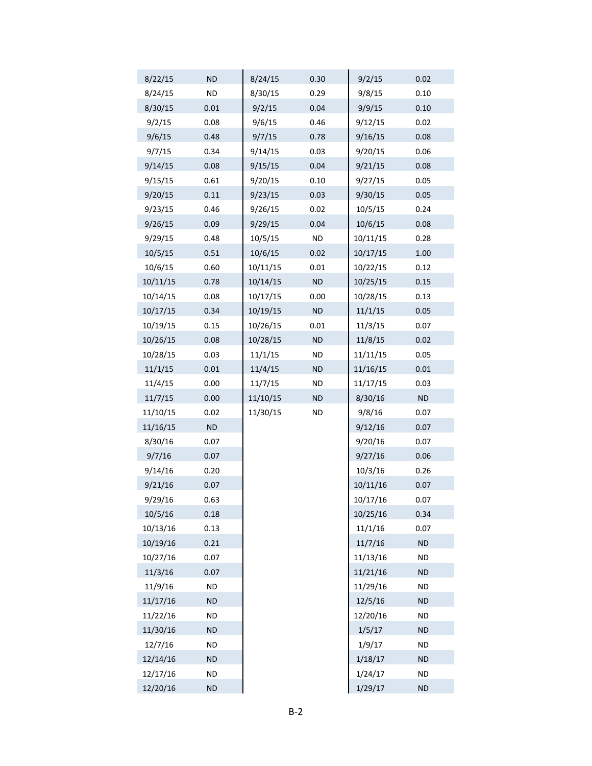| 8/22/15  | <b>ND</b> | 8/24/15  | 0.30      | 9/2/15   | 0.02      |
|----------|-----------|----------|-----------|----------|-----------|
| 8/24/15  | <b>ND</b> | 8/30/15  | 0.29      | 9/8/15   | 0.10      |
| 8/30/15  | 0.01      | 9/2/15   | 0.04      | 9/9/15   | 0.10      |
| 9/2/15   | 0.08      | 9/6/15   | 0.46      | 9/12/15  | 0.02      |
| 9/6/15   | 0.48      | 9/7/15   | 0.78      | 9/16/15  | 0.08      |
| 9/7/15   | 0.34      | 9/14/15  | 0.03      | 9/20/15  | 0.06      |
| 9/14/15  | 0.08      | 9/15/15  | 0.04      | 9/21/15  | 0.08      |
| 9/15/15  | 0.61      | 9/20/15  | 0.10      | 9/27/15  | 0.05      |
| 9/20/15  | 0.11      | 9/23/15  | 0.03      | 9/30/15  | 0.05      |
| 9/23/15  | 0.46      | 9/26/15  | 0.02      | 10/5/15  | 0.24      |
| 9/26/15  | 0.09      | 9/29/15  | 0.04      | 10/6/15  | 0.08      |
| 9/29/15  | 0.48      | 10/5/15  | <b>ND</b> | 10/11/15 | 0.28      |
| 10/5/15  | 0.51      | 10/6/15  | 0.02      | 10/17/15 | 1.00      |
| 10/6/15  | 0.60      | 10/11/15 | 0.01      | 10/22/15 | 0.12      |
| 10/11/15 | 0.78      | 10/14/15 | <b>ND</b> | 10/25/15 | 0.15      |
| 10/14/15 | 0.08      | 10/17/15 | 0.00      | 10/28/15 | 0.13      |
| 10/17/15 | 0.34      | 10/19/15 | <b>ND</b> | 11/1/15  | 0.05      |
| 10/19/15 | 0.15      | 10/26/15 | 0.01      | 11/3/15  | 0.07      |
| 10/26/15 | 0.08      | 10/28/15 | <b>ND</b> | 11/8/15  | 0.02      |
| 10/28/15 | 0.03      | 11/1/15  | <b>ND</b> | 11/11/15 | 0.05      |
| 11/1/15  | 0.01      | 11/4/15  | <b>ND</b> | 11/16/15 | $0.01\,$  |
| 11/4/15  | 0.00      | 11/7/15  | <b>ND</b> | 11/17/15 | 0.03      |
| 11/7/15  | 0.00      | 11/10/15 | <b>ND</b> | 8/30/16  | ND        |
| 11/10/15 | 0.02      | 11/30/15 | ND        | 9/8/16   | 0.07      |
| 11/16/15 | ND        |          |           | 9/12/16  | 0.07      |
| 8/30/16  | 0.07      |          |           | 9/20/16  | 0.07      |
| 9/7/16   | 0.07      |          |           | 9/27/16  | 0.06      |
| 9/14/16  | 0.20      |          |           | 10/3/16  | 0.26      |
| 9/21/16  | 0.07      |          |           | 10/11/16 | 0.07      |
| 9/29/16  | 0.63      |          |           | 10/17/16 | 0.07      |
| 10/5/16  | 0.18      |          |           | 10/25/16 | 0.34      |
| 10/13/16 | 0.13      |          |           | 11/1/16  | 0.07      |
| 10/19/16 | 0.21      |          |           | 11/7/16  | <b>ND</b> |
| 10/27/16 | 0.07      |          |           | 11/13/16 | <b>ND</b> |
| 11/3/16  | 0.07      |          |           | 11/21/16 | <b>ND</b> |
| 11/9/16  | ND        |          |           | 11/29/16 | <b>ND</b> |
| 11/17/16 | <b>ND</b> |          |           | 12/5/16  | <b>ND</b> |
| 11/22/16 | <b>ND</b> |          |           | 12/20/16 | ND        |
| 11/30/16 | <b>ND</b> |          |           | 1/5/17   | <b>ND</b> |
| 12/7/16  | <b>ND</b> |          |           | 1/9/17   | <b>ND</b> |
| 12/14/16 | <b>ND</b> |          |           | 1/18/17  | <b>ND</b> |
| 12/17/16 | <b>ND</b> |          |           | 1/24/17  | <b>ND</b> |
| 12/20/16 | <b>ND</b> |          |           | 1/29/17  | ND        |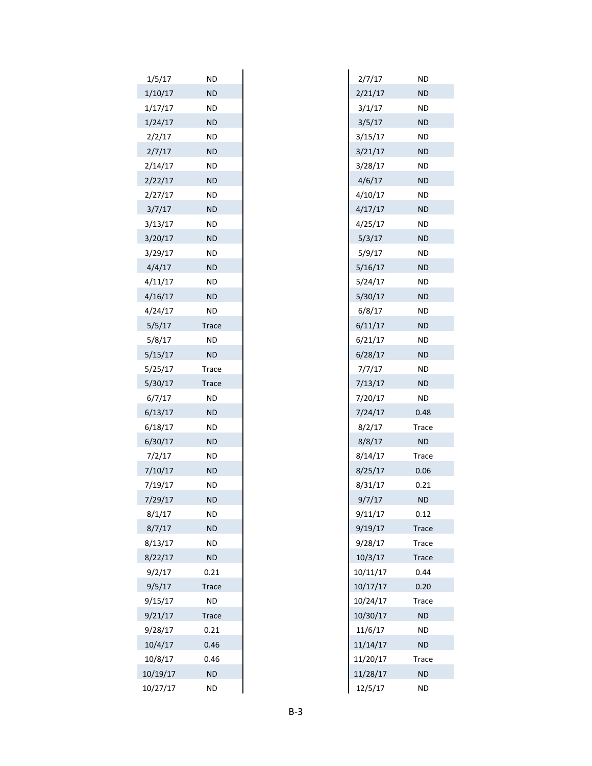| 1/5/17   | ND           |
|----------|--------------|
| 1/10/17  | <b>ND</b>    |
| 1/17/17  | <b>ND</b>    |
| 1/24/17  | <b>ND</b>    |
| 2/2/17   | ND           |
| 2/7/17   | <b>ND</b>    |
| 2/14/17  | <b>ND</b>    |
| 2/22/17  | <b>ND</b>    |
| 2/27/17  | ND           |
| 3/7/17   | <b>ND</b>    |
| 3/13/17  | <b>ND</b>    |
| 3/20/17  | <b>ND</b>    |
| 3/29/17  | ND           |
| 4/4/17   | <b>ND</b>    |
| 4/11/17  | ND           |
| 4/16/17  | <b>ND</b>    |
| 4/24/17  | ND           |
| 5/5/17   | <b>Trace</b> |
| 5/8/17   | ND           |
| 5/15/17  | <b>ND</b>    |
| 5/25/17  | <b>Trace</b> |
| 5/30/17  | Trace        |
| 6/7/17   | <b>ND</b>    |
| 6/13/17  | <b>ND</b>    |
| 6/18/17  | ND           |
| 6/30/17  | <b>ND</b>    |
| 7/2/17   | ND           |
| 7/10/17  | <b>ND</b>    |
| 7/19/17  | <b>ND</b>    |
| 7/29/17  | <b>ND</b>    |
| 8/1/17   | ND           |
| 8/7/17   | <b>ND</b>    |
| 8/13/17  | ND           |
| 8/22/17  | <b>ND</b>    |
| 9/2/17   | 0.21         |
| 9/5/17   | <b>Trace</b> |
| 9/15/17  | ND           |
| 9/21/17  | <b>Trace</b> |
| 9/28/17  | 0.21         |
| 10/4/17  | 0.46         |
| 10/8/17  | 0.46         |
| 10/19/17 | <b>ND</b>    |
| 10/27/17 | <b>ND</b>    |
|          |              |

| 2/7/17   | ΝD        |
|----------|-----------|
| 2/21/17  | ΝD        |
| 3/1/17   | ΝD        |
| 3/5/17   | ΝD        |
| 3/15/17  | ND        |
| 3/21/17  | ΝD        |
| 3/28/17  | ΝD        |
| 4/6/17   | ΝD        |
| 4/10/17  | ND        |
| 4/17/17  | ΝD        |
| 4/25/17  | ΝD        |
| 5/3/17   | ΝD        |
| 5/9/17   | ND        |
| 5/16/17  | ΝD        |
| 5/24/17  | ΝD        |
| 5/30/17  | ΝD        |
| 6/8/17   | ND        |
| 6/11/17  | ΝD        |
| 6/21/17  | ΝD        |
| 6/28/17  | ΝD        |
| 7/7/17   | ND        |
| 7/13/17  | <b>ND</b> |
| 7/20/17  | ΝD        |
| 7/24/17  | 0.48      |
| 8/2/17   | Trace     |
| 8/8/17   | <b>ND</b> |
| 8/14/17  | Trace     |
| 8/25/17  | 0.06      |
| 8/31/17  | 0.21      |
| 9/7/17   | ΝD        |
| 9/11/17  | 0.12      |
| 9/19/17  | Trace     |
| 9/28/17  | Trace     |
| 10/3/17  | Trace     |
| 10/11/17 | 0.44      |
| 10/17/17 | 0.20      |
| 10/24/17 | Trace     |
| 10/30/17 | ND        |
| 11/6/17  | ND        |
| 11/14/17 | ΝD        |
| 11/20/17 | Trace     |
| 11/28/17 | ΝD        |
| 12/5/17  | ND        |
|          |           |